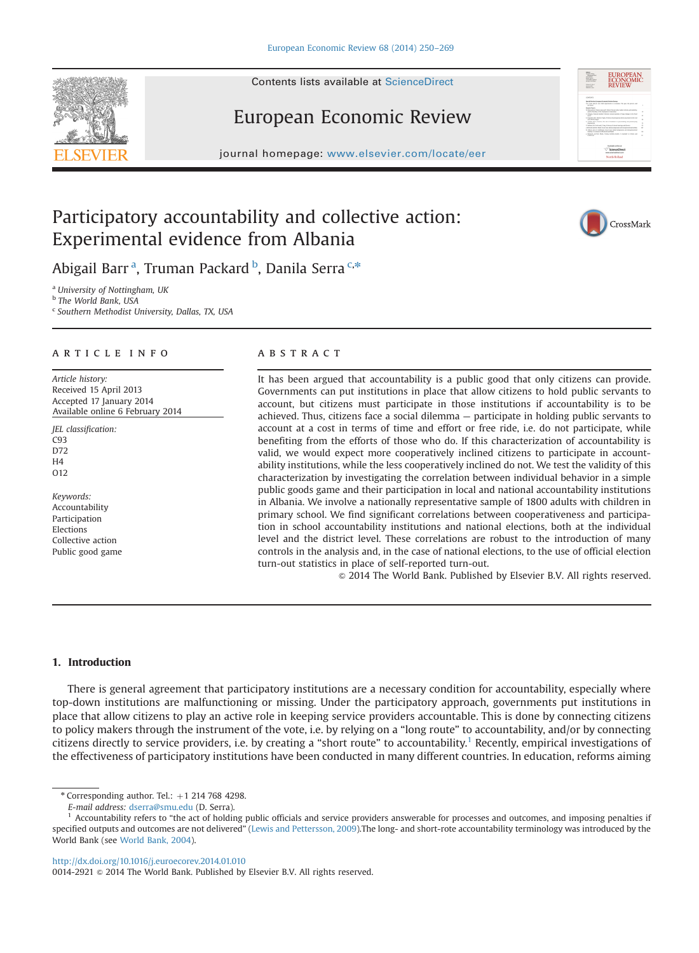# European Economic Review

journal homepage: <www.elsevier.com/locate/eer>

# Participatory accountability and collective action: Experimental evidence from Albania

Abigail Barr<sup>a</sup>, Truman Packard <sup>b</sup>, Danila Serra <sup>c,</sup>\*

<sup>a</sup> University of Nottingham, UK

<sup>b</sup> The World Bank, USA

<sup>c</sup> Southern Methodist University, Dallas, TX, USA

# article info

Article history: Received 15 April 2013 Accepted 17 January 2014 Available online 6 February 2014

JEL classification: C93 D72

H4 O12

Keywords: Accountability Participation Elections Collective action Public good game

# **ABSTRACT**

It has been argued that accountability is a public good that only citizens can provide. Governments can put institutions in place that allow citizens to hold public servants to account, but citizens must participate in those institutions if accountability is to be achieved. Thus, citizens face a social dilemma — participate in holding public servants to account at a cost in terms of time and effort or free ride, i.e. do not participate, while benefiting from the efforts of those who do. If this characterization of accountability is valid, we would expect more cooperatively inclined citizens to participate in accountability institutions, while the less cooperatively inclined do not. We test the validity of this characterization by investigating the correlation between individual behavior in a simple public goods game and their participation in local and national accountability institutions in Albania. We involve a nationally representative sample of 1800 adults with children in primary school. We find significant correlations between cooperativeness and participation in school accountability institutions and national elections, both at the individual level and the district level. These correlations are robust to the introduction of many controls in the analysis and, in the case of national elections, to the use of official election turn-out statistics in place of self-reported turn-out.

 $\odot$  2014 The World Bank. Published by Elsevier B.V. All rights reserved.

# 1. Introduction

There is general agreement that participatory institutions are a necessary condition for accountability, especially where top-down institutions are malfunctioning or missing. Under the participatory approach, governments put institutions in place that allow citizens to play an active role in keeping service providers accountable. This is done by connecting citizens to policy makers through the instrument of the vote, i.e. by relying on a "long route" to accountability, and/or by connecting citizens directly to service providers, i.e. by creating a "short route" to accountability.<sup>1</sup> Recently, empirical investigations of the effectiveness of participatory institutions have been conducted in many different countries. In education, reforms aiming

 $*$  Corresponding author. Tel.:  $+1$  214 768 4298.

E-mail address: [dserra@smu.edu](mailto:dserra@smu.edu) (D. Serra).

<http://dx.doi.org/10.1016/j.euroecorev.2014.01.010>

0014-2921 @ 2014 The World Bank. Published by Elsevier B.V. All rights reserved.







<sup>&</sup>lt;sup>1</sup> Accountability refers to "the act of holding public officials and service providers answerable for processes and outcomes, and imposing penalties if specified outputs and outcomes are not delivered" ([Lewis and Pettersson, 2009\)](#page-19-0).The long- and short-rote accountability terminology was introduced by the World Bank (see [World Bank, 2004\)](#page-19-0).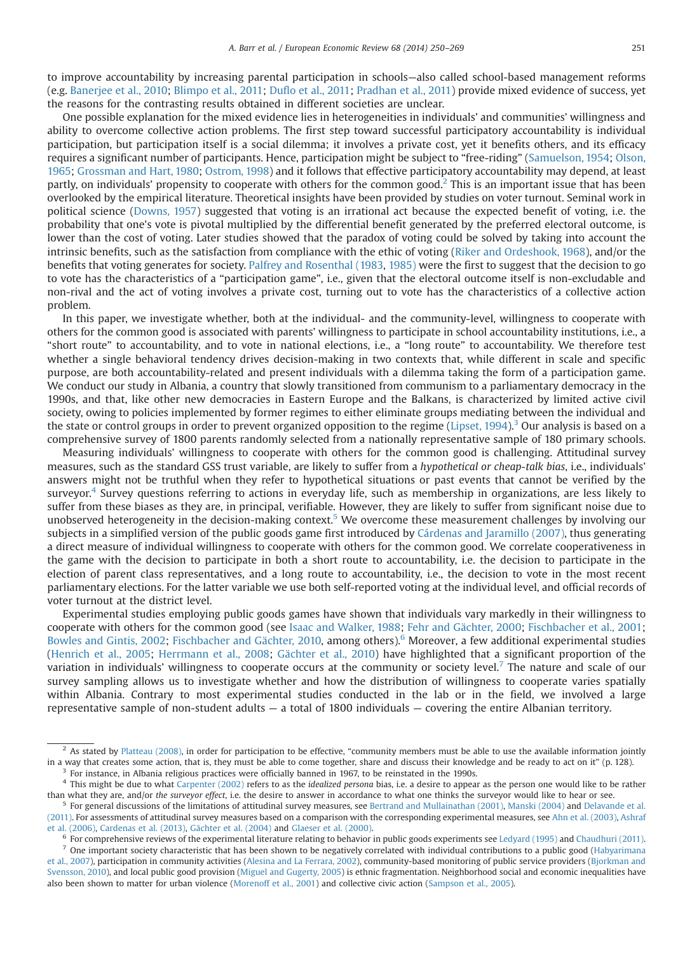to improve accountability by increasing parental participation in schools—also called school-based management reforms (e.g. [Banerjee et al., 2010](#page-18-0); [Blimpo et al., 2011;](#page-18-0) [Duflo et al., 2011;](#page-18-0) [Pradhan et al., 2011\)](#page-19-0) provide mixed evidence of success, yet the reasons for the contrasting results obtained in different societies are unclear.

One possible explanation for the mixed evidence lies in heterogeneities in individuals' and communities' willingness and ability to overcome collective action problems. The first step toward successful participatory accountability is individual participation, but participation itself is a social dilemma; it involves a private cost, yet it benefits others, and its efficacy requires a significant number of participants. Hence, participation might be subject to "free-riding" [\(Samuelson, 1954;](#page-19-0) [Olson,](#page-19-0) [1965](#page-19-0); [Grossman and Hart, 1980;](#page-18-0) [Ostrom, 1998\)](#page-19-0) and it follows that effective participatory accountability may depend, at least partly, on individuals' propensity to cooperate with others for the common good.<sup>2</sup> This is an important issue that has been overlooked by the empirical literature. Theoretical insights have been provided by studies on voter turnout. Seminal work in political science [\(Downs, 1957](#page-18-0)) suggested that voting is an irrational act because the expected benefit of voting, i.e. the probability that one's vote is pivotal multiplied by the differential benefit generated by the preferred electoral outcome, is lower than the cost of voting. Later studies showed that the paradox of voting could be solved by taking into account the intrinsic benefits, such as the satisfaction from compliance with the ethic of voting ([Riker and Ordeshook, 1968](#page-19-0)), and/or the benefits that voting generates for society. [Palfrey and Rosenthal \(1983,](#page-19-0) [1985\)](#page-19-0) were the first to suggest that the decision to go to vote has the characteristics of a "participation game", i.e., given that the electoral outcome itself is non-excludable and non-rival and the act of voting involves a private cost, turning out to vote has the characteristics of a collective action problem.

In this paper, we investigate whether, both at the individual- and the community-level, willingness to cooperate with others for the common good is associated with parents' willingness to participate in school accountability institutions, i.e., a "short route" to accountability, and to vote in national elections, i.e., a "long route" to accountability. We therefore test whether a single behavioral tendency drives decision-making in two contexts that, while different in scale and specific purpose, are both accountability-related and present individuals with a dilemma taking the form of a participation game. We conduct our study in Albania, a country that slowly transitioned from communism to a parliamentary democracy in the 1990s, and that, like other new democracies in Eastern Europe and the Balkans, is characterized by limited active civil society, owing to policies implemented by former regimes to either eliminate groups mediating between the individual and the state or control groups in order to prevent organized opposition to the regime [\(Lipset, 1994](#page-19-0)).<sup>3</sup> Our analysis is based on a comprehensive survey of 1800 parents randomly selected from a nationally representative sample of 180 primary schools.

Measuring individuals' willingness to cooperate with others for the common good is challenging. Attitudinal survey measures, such as the standard GSS trust variable, are likely to suffer from a hypothetical or cheap-talk bias, i.e., individuals' answers might not be truthful when they refer to hypothetical situations or past events that cannot be verified by the surveyor.<sup>4</sup> Survey questions referring to actions in everyday life, such as membership in organizations, are less likely to suffer from these biases as they are, in principal, verifiable. However, they are likely to suffer from significant noise due to unobserved heterogeneity in the decision-making context.<sup>5</sup> We overcome these measurement challenges by involving our subjects in a simplified version of the public goods game first introduced by [Cárdenas and Jaramillo \(2007\),](#page-18-0) thus generating a direct measure of individual willingness to cooperate with others for the common good. We correlate cooperativeness in the game with the decision to participate in both a short route to accountability, i.e. the decision to participate in the election of parent class representatives, and a long route to accountability, i.e., the decision to vote in the most recent parliamentary elections. For the latter variable we use both self-reported voting at the individual level, and official records of voter turnout at the district level.

Experimental studies employing public goods games have shown that individuals vary markedly in their willingness to cooperate with others for the common good (see [Isaac and Walker, 1988](#page-19-0); [Fehr and Gächter, 2000](#page-18-0); [Fischbacher et al., 2001](#page-18-0); [Bowles and Gintis, 2002](#page-18-0); [Fischbacher and Gächter, 2010](#page-18-0), among others).<sup>6</sup> Moreover, a few additional experimental studies ([Henrich et al., 2005](#page-19-0); [Herrmann et al., 2008;](#page-19-0) [Gächter et al., 2010](#page-18-0)) have highlighted that a significant proportion of the variation in individuals' willingness to cooperate occurs at the community or society level.<sup>7</sup> The nature and scale of our survey sampling allows us to investigate whether and how the distribution of willingness to cooperate varies spatially within Albania. Contrary to most experimental studies conducted in the lab or in the field, we involved a large representative sample of non-student adults — a total of 1800 individuals — covering the entire Albanian territory.

<sup>&</sup>lt;sup>2</sup> As stated by [Platteau \(2008\)](#page-19-0), in order for participation to be effective, "community members must be able to use the available information jointly in a way that creates some action, that is, they must be able to come together, share and discuss their knowledge and be ready to act on it" (p. 128).  $3$  For instance, in Albania religious practices were officially banned in 1967, to be reinstated in the 1990s.

<sup>&</sup>lt;sup>4</sup> This might be due to what [Carpenter \(2002\)](#page-18-0) refers to as the idealized persona bias, i.e. a desire to appear as the person one would like to be rather than what they are, and/or the surveyor effect, i.e. the desire to answer in accordance to what one thinks the surveyor would like to hear or see.

<sup>5</sup> For general discussions of the limitations of attitudinal survey measures, see [Bertrand and Mullainathan \(2001\)](#page-18-0), [Manski \(2004\)](#page-19-0) and [Delavande et al.](#page-18-0) [\(2011\).](#page-18-0) For assessments of attitudinal survey measures based on a comparison with the corresponding experimental measures, see [Ahn et al. \(2003\),](#page-18-0) [Ashraf](#page-18-0)

[et al. \(2006\)](#page-18-0), [Cardenas et al. \(2013\)](#page-18-0), [Gächter et al. \(2004\)](#page-18-0) and [Glaeser et al. \(2000\).](#page-18-0)

<sup>6</sup> For comprehensive reviews of the experimental literature relating to behavior in public goods experiments see [Ledyard \(1995\)](#page-19-0) and [Chaudhuri \(2011\).](#page-18-0)  $7$  One important society characteristic that has been shown to be negatively correlated with individual contributions to a public good ([Habyarimana](#page-18-0) [et al., 2007](#page-18-0)), participation in community activities [\(Alesina and La Ferrara, 2002\)](#page-18-0), community-based monitoring of public service providers ([Bjorkman and](#page-18-0) [Svensson, 2010\)](#page-18-0), and local public good provision [\(Miguel and Gugerty, 2005\)](#page-19-0) is ethnic fragmentation. Neighborhood social and economic inequalities have also been shown to matter for urban violence ([Morenoff et al., 2001\)](#page-19-0) and collective civic action ([Sampson et al., 2005\)](#page-19-0).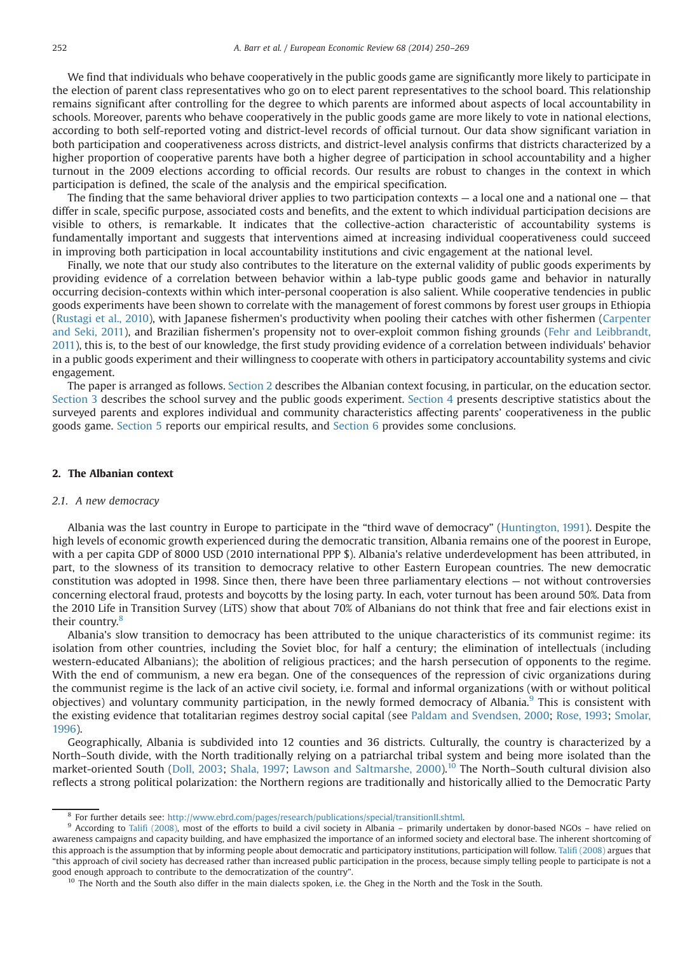We find that individuals who behave cooperatively in the public goods game are significantly more likely to participate in the election of parent class representatives who go on to elect parent representatives to the school board. This relationship remains significant after controlling for the degree to which parents are informed about aspects of local accountability in schools. Moreover, parents who behave cooperatively in the public goods game are more likely to vote in national elections, according to both self-reported voting and district-level records of official turnout. Our data show significant variation in both participation and cooperativeness across districts, and district-level analysis confirms that districts characterized by a higher proportion of cooperative parents have both a higher degree of participation in school accountability and a higher turnout in the 2009 elections according to official records. Our results are robust to changes in the context in which participation is defined, the scale of the analysis and the empirical specification.

The finding that the same behavioral driver applies to two participation contexts — a local one and a national one — that differ in scale, specific purpose, associated costs and benefits, and the extent to which individual participation decisions are visible to others, is remarkable. It indicates that the collective-action characteristic of accountability systems is fundamentally important and suggests that interventions aimed at increasing individual cooperativeness could succeed in improving both participation in local accountability institutions and civic engagement at the national level.

Finally, we note that our study also contributes to the literature on the external validity of public goods experiments by providing evidence of a correlation between behavior within a lab-type public goods game and behavior in naturally occurring decision-contexts within which inter-personal cooperation is also salient. While cooperative tendencies in public goods experiments have been shown to correlate with the management of forest commons by forest user groups in Ethiopia ([Rustagi et al., 2010\)](#page-19-0), with Japanese fishermen's productivity when pooling their catches with other fishermen ([Carpenter](#page-18-0) [and Seki, 2011\)](#page-18-0), and Brazilian fishermen's propensity not to over-exploit common fishing grounds [\(Fehr and Leibbrandt,](#page-18-0) [2011\)](#page-18-0), this is, to the best of our knowledge, the first study providing evidence of a correlation between individuals' behavior in a public goods experiment and their willingness to cooperate with others in participatory accountability systems and civic engagement.

The paper is arranged as follows. Section 2 describes the Albanian context focusing, in particular, on the education sector. [Section 3](#page-3-0) describes the school survey and the public goods experiment. [Section 4](#page-5-0) presents descriptive statistics about the surveyed parents and explores individual and community characteristics affecting parents' cooperativeness in the public goods game. [Section 5](#page-8-0) reports our empirical results, and [Section 6](#page-13-0) provides some conclusions.

## 2. The Albanian context

## 2.1. A new democracy

Albania was the last country in Europe to participate in the "third wave of democracy" [\(Huntington, 1991](#page-19-0)). Despite the high levels of economic growth experienced during the democratic transition, Albania remains one of the poorest in Europe, with a per capita GDP of 8000 USD (2010 international PPP \$). Albania's relative underdevelopment has been attributed, in part, to the slowness of its transition to democracy relative to other Eastern European countries. The new democratic constitution was adopted in 1998. Since then, there have been three parliamentary elections — not without controversies concerning electoral fraud, protests and boycotts by the losing party. In each, voter turnout has been around 50%. Data from the 2010 Life in Transition Survey (LiTS) show that about 70% of Albanians do not think that free and fair elections exist in their country.<sup>8</sup>

Albania's slow transition to democracy has been attributed to the unique characteristics of its communist regime: its isolation from other countries, including the Soviet bloc, for half a century; the elimination of intellectuals (including western-educated Albanians); the abolition of religious practices; and the harsh persecution of opponents to the regime. With the end of communism, a new era began. One of the consequences of the repression of civic organizations during the communist regime is the lack of an active civil society, i.e. formal and informal organizations (with or without political objectives) and voluntary community participation, in the newly formed democracy of Albania.<sup>9</sup> This is consistent with the existing evidence that totalitarian regimes destroy social capital (see [Paldam and Svendsen, 2000;](#page-19-0) [Rose, 1993](#page-19-0); [Smolar,](#page-19-0) [1996](#page-19-0)).

Geographically, Albania is subdivided into 12 counties and 36 districts. Culturally, the country is characterized by a North–South divide, with the North traditionally relying on a patriarchal tribal system and being more isolated than the market-oriented South [\(Doll, 2003;](#page-18-0) [Shala, 1997;](#page-19-0) [Lawson and Saltmarshe, 2000\)](#page-19-0).<sup>10</sup> The North–South cultural division also reflects a strong political polarization: the Northern regions are traditionally and historically allied to the Democratic Party

<sup>8</sup> For further details see: [http://www.ebrd.com/pages/research/publications/special/transitionII.shtml.](http://www.ebrd.com/pages/research/publications/special/transitionII.shtml)

<sup>9</sup> According to [Talifi \(2008\)](#page-19-0), most of the efforts to build a civil society in Albania – primarily undertaken by donor-based NGOs – have relied on awareness campaigns and capacity building, and have emphasized the importance of an informed society and electoral base. The inherent shortcoming of this approach is the assumption that by informing people about democratic and participatory institutions, participation will follow. [Talifi \(2008\)](#page-19-0) argues that "this approach of civil society has decreased rather than increased public participation in the process, because simply telling people to participate is not a good enough approach to contribute to the democratization of the country".

<sup>&</sup>lt;sup>10</sup> The North and the South also differ in the main dialects spoken, i.e. the Gheg in the North and the Tosk in the South.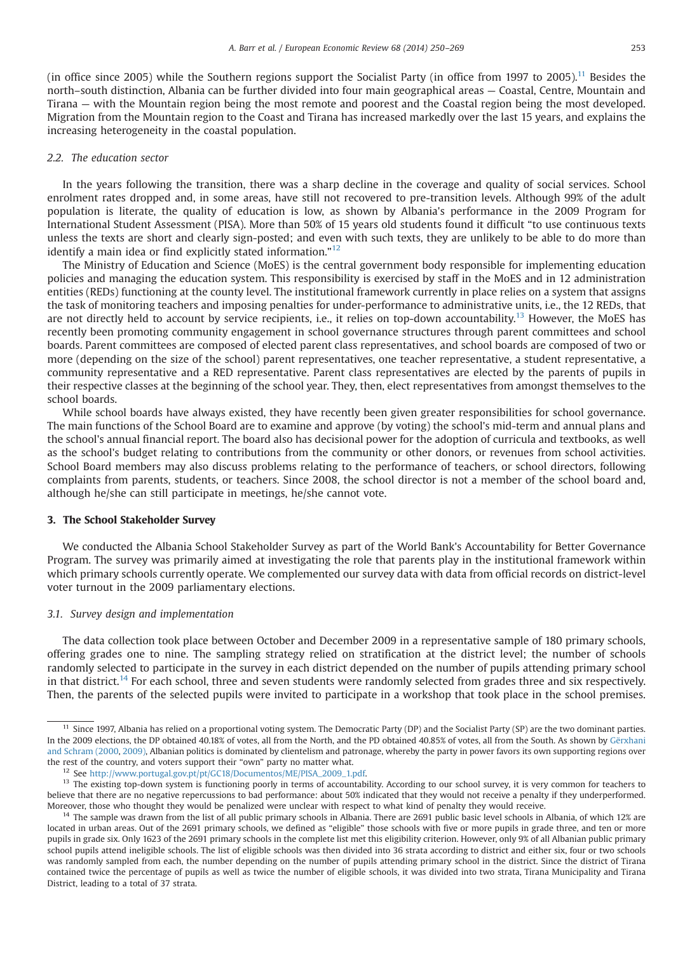<span id="page-3-0"></span>(in office since 2005) while the Southern regions support the Socialist Party (in office from 1997 to  $2005$ ).<sup>11</sup> Besides the north–south distinction, Albania can be further divided into four main geographical areas — Coastal, Centre, Mountain and Tirana — with the Mountain region being the most remote and poorest and the Coastal region being the most developed. Migration from the Mountain region to the Coast and Tirana has increased markedly over the last 15 years, and explains the increasing heterogeneity in the coastal population.

# 2.2. The education sector

In the years following the transition, there was a sharp decline in the coverage and quality of social services. School enrolment rates dropped and, in some areas, have still not recovered to pre-transition levels. Although 99% of the adult population is literate, the quality of education is low, as shown by Albania's performance in the 2009 Program for International Student Assessment (PISA). More than 50% of 15 years old students found it difficult "to use continuous texts unless the texts are short and clearly sign-posted; and even with such texts, they are unlikely to be able to do more than identify a main idea or find explicitly stated information."<sup>12</sup>

The Ministry of Education and Science (MoES) is the central government body responsible for implementing education policies and managing the education system. This responsibility is exercised by staff in the MoES and in 12 administration entities (REDs) functioning at the county level. The institutional framework currently in place relies on a system that assigns the task of monitoring teachers and imposing penalties for under-performance to administrative units, i.e., the 12 REDs, that are not directly held to account by service recipients, i.e., it relies on top-down accountability.<sup>13</sup> However, the MoES has recently been promoting community engagement in school governance structures through parent committees and school boards. Parent committees are composed of elected parent class representatives, and school boards are composed of two or more (depending on the size of the school) parent representatives, one teacher representative, a student representative, a community representative and a RED representative. Parent class representatives are elected by the parents of pupils in their respective classes at the beginning of the school year. They, then, elect representatives from amongst themselves to the school boards.

While school boards have always existed, they have recently been given greater responsibilities for school governance. The main functions of the School Board are to examine and approve (by voting) the school's mid-term and annual plans and the school's annual financial report. The board also has decisional power for the adoption of curricula and textbooks, as well as the school's budget relating to contributions from the community or other donors, or revenues from school activities. School Board members may also discuss problems relating to the performance of teachers, or school directors, following complaints from parents, students, or teachers. Since 2008, the school director is not a member of the school board and, although he/she can still participate in meetings, he/she cannot vote.

# 3. The School Stakeholder Survey

We conducted the Albania School Stakeholder Survey as part of the World Bank's Accountability for Better Governance Program. The survey was primarily aimed at investigating the role that parents play in the institutional framework within which primary schools currently operate. We complemented our survey data with data from official records on district-level voter turnout in the 2009 parliamentary elections.

### 3.1. Survey design and implementation

The data collection took place between October and December 2009 in a representative sample of 180 primary schools, offering grades one to nine. The sampling strategy relied on stratification at the district level; the number of schools randomly selected to participate in the survey in each district depended on the number of pupils attending primary school in that district.<sup>14</sup> For each school, three and seven students were randomly selected from grades three and six respectively. Then, the parents of the selected pupils were invited to participate in a workshop that took place in the school premises.

Since 1997, Albania has relied on a proportional voting system. The Democratic Party (DP) and the Socialist Party (SP) are the two dominant parties. In the 2009 elections, the DP obtained 40.18% of votes, all from the North, and the PD obtained 40.85% of votes, all from the South. As shown by [Gërxhani](#page-18-0) [and Schram \(2000](#page-18-0), [2009\)](#page-18-0), Albanian politics is dominated by clientelism and patronage, whereby the party in power favors its own supporting regions over the rest of the country, and voters support their "own" party no matter what.

<sup>12</sup> See [http://www.portugal.gov.pt/pt/GC18/Documentos/ME/PISA\\_2009\\_1.pdf](http://www.portugal.gov.pt/pt/GC18/Documentos/ME/PISA_2009_1.pdf).

<sup>&</sup>lt;sup>13</sup> The existing top-down system is functioning poorly in terms of accountability. According to our school survey, it is very common for teachers to believe that there are no negative repercussions to bad performance: about 50% indicated that they would not receive a penalty if they underperformed. Moreover, those who thought they would be penalized were unclear with respect to what kind of penalty they would receive.

<sup>&</sup>lt;sup>14</sup> The sample was drawn from the list of all public primary schools in Albania. There are 2691 public basic level schools in Albania, of which 12% are located in urban areas. Out of the 2691 primary schools, we defined as "eligible" those schools with five or more pupils in grade three, and ten or more pupils in grade six. Only 1623 of the 2691 primary schools in the complete list met this eligibility criterion. However, only 9% of all Albanian public primary school pupils attend ineligible schools. The list of eligible schools was then divided into 36 strata according to district and either six, four or two schools was randomly sampled from each, the number depending on the number of pupils attending primary school in the district. Since the district of Tirana contained twice the percentage of pupils as well as twice the number of eligible schools, it was divided into two strata, Tirana Municipality and Tirana District, leading to a total of 37 strata.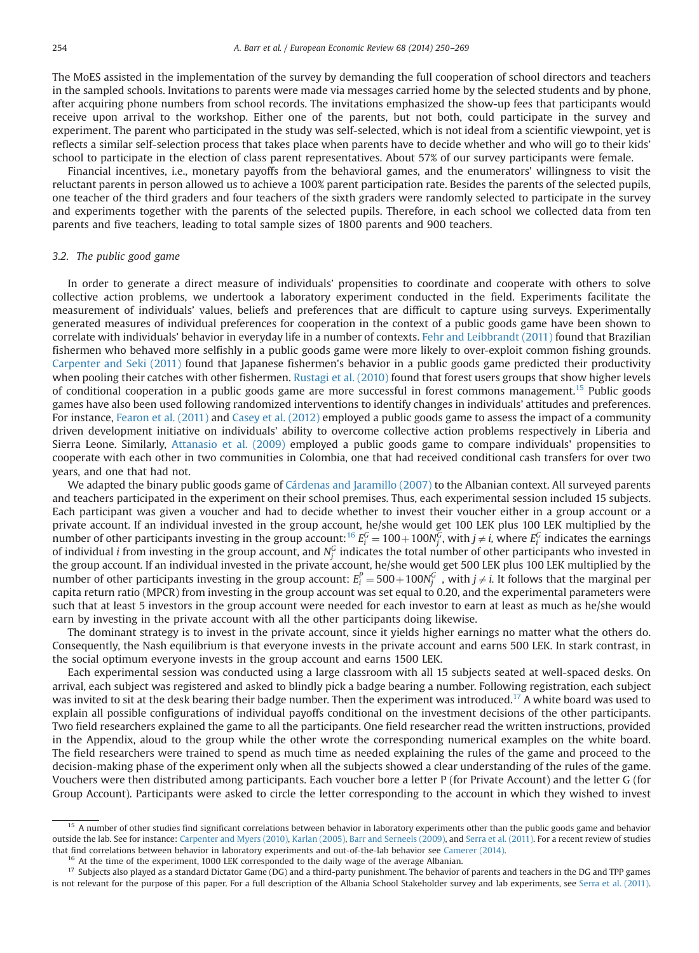The MoES assisted in the implementation of the survey by demanding the full cooperation of school directors and teachers in the sampled schools. Invitations to parents were made via messages carried home by the selected students and by phone, after acquiring phone numbers from school records. The invitations emphasized the show-up fees that participants would receive upon arrival to the workshop. Either one of the parents, but not both, could participate in the survey and experiment. The parent who participated in the study was self-selected, which is not ideal from a scientific viewpoint, yet is reflects a similar self-selection process that takes place when parents have to decide whether and who will go to their kids' school to participate in the election of class parent representatives. About 57% of our survey participants were female.

Financial incentives, i.e., monetary payoffs from the behavioral games, and the enumerators' willingness to visit the reluctant parents in person allowed us to achieve a 100% parent participation rate. Besides the parents of the selected pupils, one teacher of the third graders and four teachers of the sixth graders were randomly selected to participate in the survey and experiments together with the parents of the selected pupils. Therefore, in each school we collected data from ten parents and five teachers, leading to total sample sizes of 1800 parents and 900 teachers.

# 3.2. The public good game

In order to generate a direct measure of individuals' propensities to coordinate and cooperate with others to solve collective action problems, we undertook a laboratory experiment conducted in the field. Experiments facilitate the measurement of individuals' values, beliefs and preferences that are difficult to capture using surveys. Experimentally generated measures of individual preferences for cooperation in the context of a public goods game have been shown to correlate with individuals' behavior in everyday life in a number of contexts. [Fehr and Leibbrandt \(2011\)](#page-18-0) found that Brazilian fishermen who behaved more selfishly in a public goods game were more likely to over-exploit common fishing grounds. [Carpenter and Seki \(2011\)](#page-18-0) found that Japanese fishermen's behavior in a public goods game predicted their productivity when pooling their catches with other fishermen. [Rustagi et al. \(2010\)](#page-19-0) found that forest users groups that show higher levels of conditional cooperation in a public goods game are more successful in forest commons management.<sup>15</sup> Public goods games have also been used following randomized interventions to identify changes in individuals' attitudes and preferences. For instance, [Fearon et al. \(2011\)](#page-18-0) and [Casey et al. \(2012\)](#page-18-0) employed a public goods game to assess the impact of a community driven development initiative on individuals' ability to overcome collective action problems respectively in Liberia and Sierra Leone. Similarly, [Attanasio et al. \(2009\)](#page-18-0) employed a public goods game to compare individuals' propensities to cooperate with each other in two communities in Colombia, one that had received conditional cash transfers for over two years, and one that had not.

We adapted the binary public goods game of [Cárdenas and Jaramillo \(2007\)](#page-18-0) to the Albanian context. All surveyed parents and teachers participated in the experiment on their school premises. Thus, each experimental session included 15 subjects. Each participant was given a voucher and had to decide whether to invest their voucher either in a group account or a private account. If an individual invested in the group account, he/she would get 100 LEK plus 100 LEK multiplied by the number of other participants investing in the group account:<sup>16</sup>  $E_i^G = 100 + 100N_j^G$ , with  $j \neq i$ , where  $E_i^G$  indicates the earnings of individual i from investing in the group account, and  $N_j^G$  indicates the total number of other participants who invested in the group account. If an individual invested in the private account, he/she would get 500 LEK plus 100 LEK multiplied by the number of other participants investing in the group account:  $E_i^P = 500 + 100N_j^G$ , with  $j \neq i$ . It follows that the marginal per capita return ratio (MPCR) from investing in the group account was set equal to 0.20, and the experimental parameters were such that at least 5 investors in the group account were needed for each investor to earn at least as much as he/she would earn by investing in the private account with all the other participants doing likewise.

The dominant strategy is to invest in the private account, since it yields higher earnings no matter what the others do. Consequently, the Nash equilibrium is that everyone invests in the private account and earns 500 LEK. In stark contrast, in the social optimum everyone invests in the group account and earns 1500 LEK.

Each experimental session was conducted using a large classroom with all 15 subjects seated at well-spaced desks. On arrival, each subject was registered and asked to blindly pick a badge bearing a number. Following registration, each subject was invited to sit at the desk bearing their badge number. Then the experiment was introduced.<sup>17</sup> A white board was used to explain all possible configurations of individual payoffs conditional on the investment decisions of the other participants. Two field researchers explained the game to all the participants. One field researcher read the written instructions, provided in the Appendix, aloud to the group while the other wrote the corresponding numerical examples on the white board. The field researchers were trained to spend as much time as needed explaining the rules of the game and proceed to the decision-making phase of the experiment only when all the subjects showed a clear understanding of the rules of the game. Vouchers were then distributed among participants. Each voucher bore a letter P (for Private Account) and the letter G (for Group Account). Participants were asked to circle the letter corresponding to the account in which they wished to invest

<sup>&</sup>lt;sup>15</sup> A number of other studies find significant correlations between behavior in laboratory experiments other than the public goods game and behavior outside the lab. See for instance: [Carpenter and Myers \(2010\)](#page-18-0), [Karlan \(2005\)](#page-19-0), [Barr and Serneels \(2009\),](#page-18-0) and [Serra et al. \(2011\).](#page-19-0) For a recent review of studies that find correlations between behavior in laboratory experiments and out-of-the-lab behavior see [Camerer \(2014\).](#page-18-0)

<sup>&</sup>lt;sup>16</sup> At the time of the experiment, 1000 LEK corresponded to the daily wage of the average Albanian.

<sup>&</sup>lt;sup>17</sup> Subjects also played as a standard Dictator Game (DG) and a third-party punishment. The behavior of parents and teachers in the DG and TPP games is not relevant for the purpose of this paper. For a full description of the Albania School Stakeholder survey and lab experiments, see [Serra et al. \(2011\).](#page-19-0)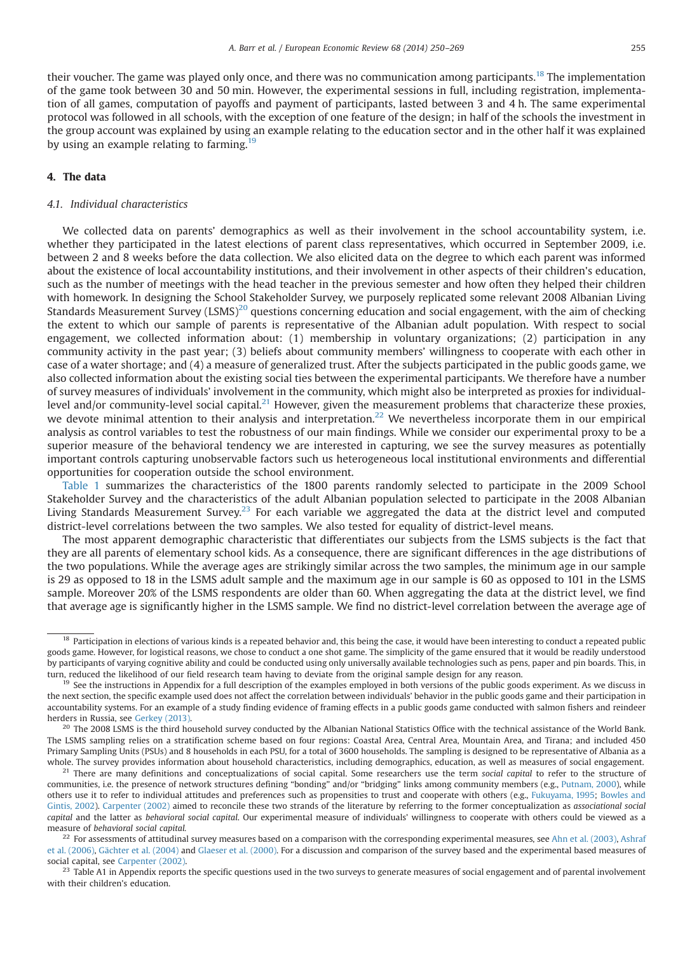<span id="page-5-0"></span>their voucher. The game was played only once, and there was no communication among participants.<sup>18</sup> The implementation of the game took between 30 and 50 min. However, the experimental sessions in full, including registration, implementation of all games, computation of payoffs and payment of participants, lasted between 3 and 4 h. The same experimental protocol was followed in all schools, with the exception of one feature of the design; in half of the schools the investment in the group account was explained by using an example relating to the education sector and in the other half it was explained by using an example relating to farming.<sup>19</sup>

# 4. The data

# 4.1. Individual characteristics

We collected data on parents' demographics as well as their involvement in the school accountability system, i.e. whether they participated in the latest elections of parent class representatives, which occurred in September 2009, i.e. between 2 and 8 weeks before the data collection. We also elicited data on the degree to which each parent was informed about the existence of local accountability institutions, and their involvement in other aspects of their children's education, such as the number of meetings with the head teacher in the previous semester and how often they helped their children with homework. In designing the School Stakeholder Survey, we purposely replicated some relevant 2008 Albanian Living Standards Measurement Survey  $(LSMS)^{20}$  questions concerning education and social engagement, with the aim of checking the extent to which our sample of parents is representative of the Albanian adult population. With respect to social engagement, we collected information about: (1) membership in voluntary organizations; (2) participation in any community activity in the past year; (3) beliefs about community members' willingness to cooperate with each other in case of a water shortage; and (4) a measure of generalized trust. After the subjects participated in the public goods game, we also collected information about the existing social ties between the experimental participants. We therefore have a number of survey measures of individuals' involvement in the community, which might also be interpreted as proxies for individuallevel and/or community-level social capital.<sup>21</sup> However, given the measurement problems that characterize these proxies, we devote minimal attention to their analysis and interpretation.<sup>22</sup> We nevertheless incorporate them in our empirical analysis as control variables to test the robustness of our main findings. While we consider our experimental proxy to be a superior measure of the behavioral tendency we are interested in capturing, we see the survey measures as potentially important controls capturing unobservable factors such us heterogeneous local institutional environments and differential opportunities for cooperation outside the school environment.

[Table 1](#page-6-0) summarizes the characteristics of the 1800 parents randomly selected to participate in the 2009 School Stakeholder Survey and the characteristics of the adult Albanian population selected to participate in the 2008 Albanian Living Standards Measurement Survey.<sup>23</sup> For each variable we aggregated the data at the district level and computed district-level correlations between the two samples. We also tested for equality of district-level means.

The most apparent demographic characteristic that differentiates our subjects from the LSMS subjects is the fact that they are all parents of elementary school kids. As a consequence, there are significant differences in the age distributions of the two populations. While the average ages are strikingly similar across the two samples, the minimum age in our sample is 29 as opposed to 18 in the LSMS adult sample and the maximum age in our sample is 60 as opposed to 101 in the LSMS sample. Moreover 20% of the LSMS respondents are older than 60. When aggregating the data at the district level, we find that average age is significantly higher in the LSMS sample. We find no district-level correlation between the average age of

Participation in elections of various kinds is a repeated behavior and, this being the case, it would have been interesting to conduct a repeated public goods game. However, for logistical reasons, we chose to conduct a one shot game. The simplicity of the game ensured that it would be readily understood by participants of varying cognitive ability and could be conducted using only universally available technologies such as pens, paper and pin boards. This, in turn, reduced the likelihood of our field research team having to deviate from the original sample design for any reason.

See the instructions in Appendix for a full description of the examples employed in both versions of the public goods experiment. As we discuss in the next section, the specific example used does not affect the correlation between individuals' behavior in the public goods game and their participation in accountability systems. For an example of a study finding evidence of framing effects in a public goods game conducted with salmon fishers and reindeer herders in Russia, see [Gerkey \(2013\)](#page-18-0).

 $^{20}$  The 2008 LSMS is the third household survey conducted by the Albanian National Statistics Office with the technical assistance of the World Bank. The LSMS sampling relies on a stratification scheme based on four regions: Coastal Area, Central Area, Mountain Area, and Tirana; and included 450 Primary Sampling Units (PSUs) and 8 households in each PSU, for a total of 3600 households. The sampling is designed to be representative of Albania as a whole. The survey provides information about household characteristics, including demographics, education, as well as measures of social engagement.

<sup>&</sup>lt;sup>21</sup> There are many definitions and conceptualizations of social capital. Some researchers use the term social capital to refer to the structure of communities, i.e. the presence of network structures defining "bonding" and/or "bridging" links among community members (e.g., [Putnam, 2000](#page-19-0)), while others use it to refer to individual attitudes and preferences such as propensities to trust and cooperate with others (e.g., [Fukuyama, 1995](#page-18-0); [Bowles and](#page-18-0) [Gintis, 2002\)](#page-18-0). [Carpenter \(2002\)](#page-18-0) aimed to reconcile these two strands of the literature by referring to the former conceptualization as associational social capital and the latter as behavioral social capital. Our experimental measure of individuals' willingness to cooperate with others could be viewed as a measure of behavioral social capital.

 $^{22}$  For assessments of attitudinal survey measures based on a comparison with the corresponding experimental measures, see [Ahn et al. \(2003\)](#page-18-0), [Ashraf](#page-18-0) [et al. \(2006\),](#page-18-0) [Gächter et al. \(2004\)](#page-18-0) and [Glaeser et al. \(2000\)](#page-18-0). For a discussion and comparison of the survey based and the experimental based measures of social capital, see [Carpenter \(2002\)](#page-18-0).

 $^{23}$  Table A1 in Appendix reports the specific questions used in the two surveys to generate measures of social engagement and of parental involvement with their children's education.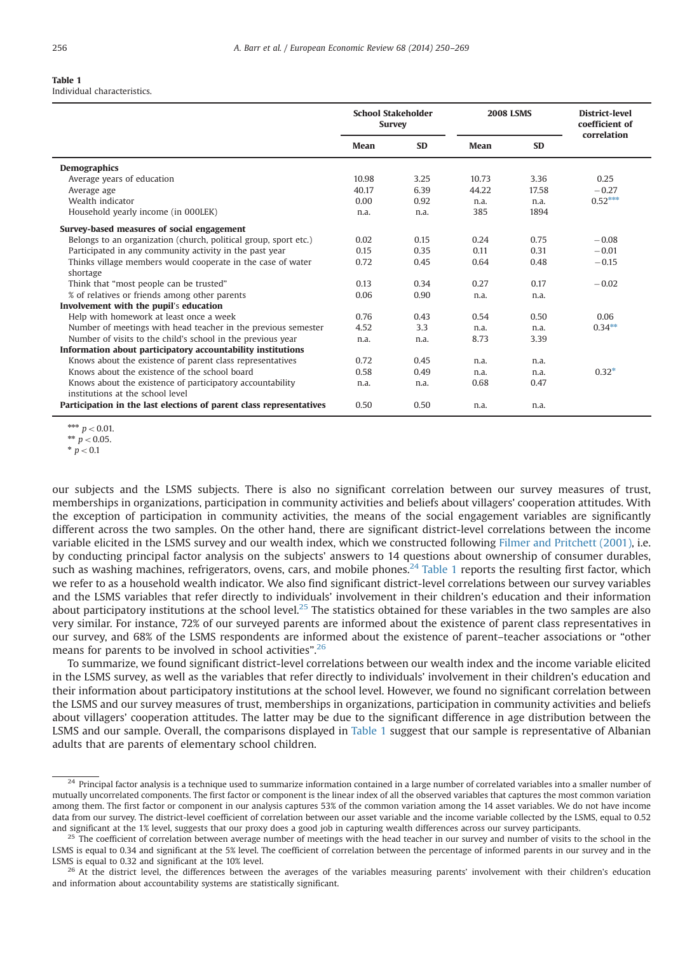#### <span id="page-6-0"></span>Table 1 Individual characteristics.

|                                                                     | <b>School Stakeholder</b><br><b>Survey</b> |           | <b>2008 LSMS</b> |           | <b>District-level</b><br>coefficient of<br>correlation |
|---------------------------------------------------------------------|--------------------------------------------|-----------|------------------|-----------|--------------------------------------------------------|
|                                                                     | Mean                                       | <b>SD</b> | Mean             | <b>SD</b> |                                                        |
| <b>Demographics</b>                                                 |                                            |           |                  |           |                                                        |
| Average years of education                                          | 10.98                                      | 3.25      | 10.73            | 3.36      | 0.25                                                   |
| Average age                                                         | 40.17                                      | 6.39      | 44.22            | 17.58     | $-0.27$                                                |
| Wealth indicator                                                    | 0.00                                       | 0.92      | n.a.             | n.a.      | $0.52***$                                              |
| Household yearly income (in 000LEK)                                 | n.a.                                       | n.a.      | 385              | 1894      |                                                        |
| Survey-based measures of social engagement                          |                                            |           |                  |           |                                                        |
| Belongs to an organization (church, political group, sport etc.)    | 0.02                                       | 0.15      | 0.24             | 0.75      | $-0.08$                                                |
| Participated in any community activity in the past year             | 0.15                                       | 0.35      | 0.11             | 0.31      | $-0.01$                                                |
| Thinks village members would cooperate in the case of water         | 0.72                                       | 0.45      | 0.64             | 0.48      | $-0.15$                                                |
| shortage                                                            |                                            |           |                  |           |                                                        |
| Think that "most people can be trusted"                             | 0.13                                       | 0.34      | 0.27             | 0.17      | $-0.02$                                                |
| % of relatives or friends among other parents                       | 0.06                                       | 0.90      | n.a.             | n.a.      |                                                        |
| Involvement with the pupil's education                              |                                            |           |                  |           |                                                        |
| Help with homework at least once a week                             | 0.76                                       | 0.43      | 0.54             | 0.50      | 0.06                                                   |
| Number of meetings with head teacher in the previous semester       | 4.52                                       | 3.3       | n.a.             | n.a.      | $0.34***$                                              |
| Number of visits to the child's school in the previous year         | n.a.                                       | n.a.      | 8.73             | 3.39      |                                                        |
| Information about participatory accountability institutions         |                                            |           |                  |           |                                                        |
| Knows about the existence of parent class representatives           | 0.72                                       | 0.45      | n.a.             | n.a.      |                                                        |
| Knows about the existence of the school board                       | 0.58                                       | 0.49      | n.a.             | n.a.      | $0.32*$                                                |
| Knows about the existence of participatory accountability           | n.a.                                       | n.a.      | 0.68             | 0.47      |                                                        |
| institutions at the school level                                    |                                            |           |                  |           |                                                        |
| Participation in the last elections of parent class representatives | 0.50                                       | 0.50      | n.a.             | n.a.      |                                                        |

<sup>\*\*\*</sup>  $p < 0.01$ . \*\*  $p < 0.05$ .

\*  $p < 0.1$ 

our subjects and the LSMS subjects. There is also no significant correlation between our survey measures of trust, memberships in organizations, participation in community activities and beliefs about villagers' cooperation attitudes. With the exception of participation in community activities, the means of the social engagement variables are significantly different across the two samples. On the other hand, there are significant district-level correlations between the income variable elicited in the LSMS survey and our wealth index, which we constructed following [Filmer and Pritchett \(2001\)](#page-18-0), i.e. by conducting principal factor analysis on the subjects' answers to 14 questions about ownership of consumer durables, such as washing machines, refrigerators, ovens, cars, and mobile phones.<sup>24</sup> Table 1 reports the resulting first factor, which we refer to as a household wealth indicator. We also find significant district-level correlations between our survey variables and the LSMS variables that refer directly to individuals' involvement in their children's education and their information about participatory institutions at the school level. $^{25}$  The statistics obtained for these variables in the two samples are also very similar. For instance, 72% of our surveyed parents are informed about the existence of parent class representatives in our survey, and 68% of the LSMS respondents are informed about the existence of parent–teacher associations or "other means for parents to be involved in school activities".<sup>26</sup>

To summarize, we found significant district-level correlations between our wealth index and the income variable elicited in the LSMS survey, as well as the variables that refer directly to individuals' involvement in their children's education and their information about participatory institutions at the school level. However, we found no significant correlation between the LSMS and our survey measures of trust, memberships in organizations, participation in community activities and beliefs about villagers' cooperation attitudes. The latter may be due to the significant difference in age distribution between the LSMS and our sample. Overall, the comparisons displayed in Table 1 suggest that our sample is representative of Albanian adults that are parents of elementary school children.

<sup>&</sup>lt;sup>24</sup> Principal factor analysis is a technique used to summarize information contained in a large number of correlated variables into a smaller number of mutually uncorrelated components. The first factor or component is the linear index of all the observed variables that captures the most common variation among them. The first factor or component in our analysis captures 53% of the common variation among the 14 asset variables. We do not have income data from our survey. The district-level coefficient of correlation between our asset variable and the income variable collected by the LSMS, equal to 0.52 and significant at the 1% level, suggests that our proxy does a good job in capturing wealth differences across our survey participants.

<sup>25</sup> The coefficient of correlation between average number of meetings with the head teacher in our survey and number of visits to the school in the LSMS is equal to 0.34 and significant at the 5% level. The coefficient of correlation between the percentage of informed parents in our survey and in the LSMS is equal to 0.32 and significant at the 10% level.

<sup>&</sup>lt;sup>26</sup> At the district level, the differences between the averages of the variables measuring parents' involvement with their children's education and information about accountability systems are statistically significant.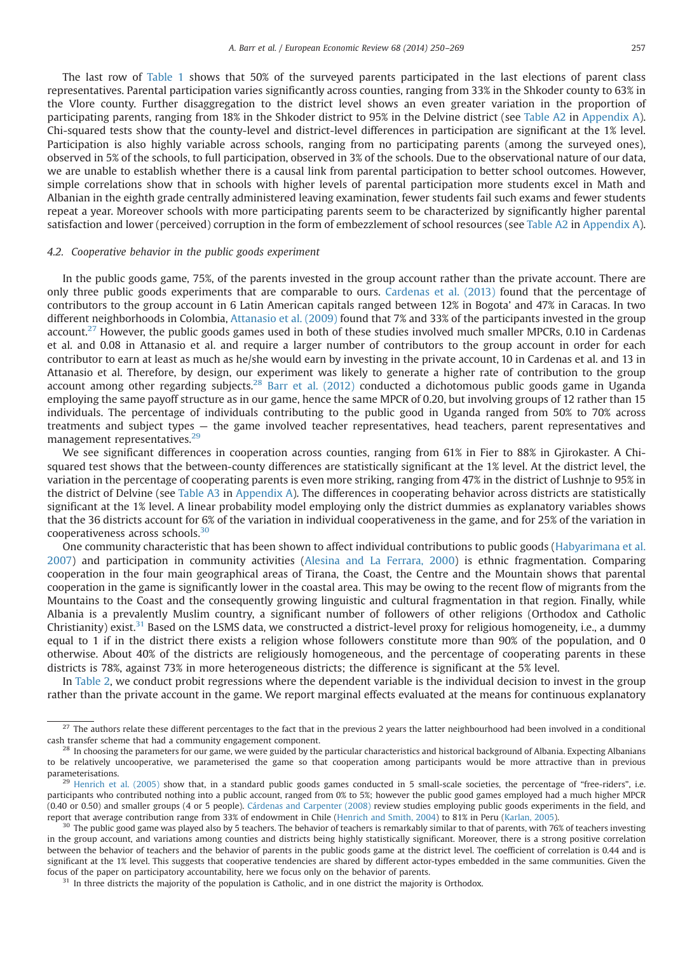The last row of [Table 1](#page-6-0) shows that 50% of the surveyed parents participated in the last elections of parent class representatives. Parental participation varies significantly across counties, ranging from 33% in the Shkoder county to 63% in the Vlore county. Further disaggregation to the district level shows an even greater variation in the proportion of participating parents, ranging from 18% in the Shkoder district to 95% in the Delvine district (see [Table A2](#page-14-0) in [Appendix A](#page-14-0)). Chi-squared tests show that the county-level and district-level differences in participation are significant at the 1% level. Participation is also highly variable across schools, ranging from no participating parents (among the surveyed ones), observed in 5% of the schools, to full participation, observed in 3% of the schools. Due to the observational nature of our data, we are unable to establish whether there is a causal link from parental participation to better school outcomes. However, simple correlations show that in schools with higher levels of parental participation more students excel in Math and Albanian in the eighth grade centrally administered leaving examination, fewer students fail such exams and fewer students repeat a year. Moreover schools with more participating parents seem to be characterized by significantly higher parental satisfaction and lower (perceived) corruption in the form of embezzlement of school resources (see [Table A2](#page-14-0) in [Appendix A](#page-14-0)).

## 4.2. Cooperative behavior in the public goods experiment

In the public goods game, 75%, of the parents invested in the group account rather than the private account. There are only three public goods experiments that are comparable to ours. [Cardenas et al. \(2013\)](#page-18-0) found that the percentage of contributors to the group account in 6 Latin American capitals ranged between 12% in Bogota' and 47% in Caracas. In two different neighborhoods in Colombia, [Attanasio et al. \(2009\)](#page-18-0) found that 7% and 33% of the participants invested in the group account.<sup>27</sup> However, the public goods games used in both of these studies involved much smaller MPCRs, 0.10 in Cardenas et al. and 0.08 in Attanasio et al. and require a larger number of contributors to the group account in order for each contributor to earn at least as much as he/she would earn by investing in the private account, 10 in Cardenas et al. and 13 in Attanasio et al. Therefore, by design, our experiment was likely to generate a higher rate of contribution to the group account among other regarding subjects.28 [Barr et al. \(2012\)](#page-18-0) conducted a dichotomous public goods game in Uganda employing the same payoff structure as in our game, hence the same MPCR of 0.20, but involving groups of 12 rather than 15 individuals. The percentage of individuals contributing to the public good in Uganda ranged from 50% to 70% across treatments and subject types — the game involved teacher representatives, head teachers, parent representatives and management representatives.<sup>29</sup>

We see significant differences in cooperation across counties, ranging from 61% in Fier to 88% in Gjirokaster. A Chisquared test shows that the between-county differences are statistically significant at the 1% level. At the district level, the variation in the percentage of cooperating parents is even more striking, ranging from 47% in the district of Lushnje to 95% in the district of Delvine (see [Table A3](#page-15-0) in [Appendix A](#page-14-0)). The differences in cooperating behavior across districts are statistically significant at the 1% level. A linear probability model employing only the district dummies as explanatory variables shows that the 36 districts account for 6% of the variation in individual cooperativeness in the game, and for 25% of the variation in cooperativeness across schools.<sup>30</sup>

One community characteristic that has been shown to affect individual contributions to public goods ([Habyarimana et al.](#page-18-0) [2007](#page-18-0)) and participation in community activities [\(Alesina and La Ferrara, 2000](#page-18-0)) is ethnic fragmentation. Comparing cooperation in the four main geographical areas of Tirana, the Coast, the Centre and the Mountain shows that parental cooperation in the game is significantly lower in the coastal area. This may be owing to the recent flow of migrants from the Mountains to the Coast and the consequently growing linguistic and cultural fragmentation in that region. Finally, while Albania is a prevalently Muslim country, a significant number of followers of other religions (Orthodox and Catholic Christianity) exist.<sup>31</sup> Based on the LSMS data, we constructed a district-level proxy for religious homogeneity, i.e., a dummy equal to 1 if in the district there exists a religion whose followers constitute more than 90% of the population, and 0 otherwise. About 40% of the districts are religiously homogeneous, and the percentage of cooperating parents in these districts is 78%, against 73% in more heterogeneous districts; the difference is significant at the 5% level.

In [Table 2,](#page-8-0) we conduct probit regressions where the dependent variable is the individual decision to invest in the group rather than the private account in the game. We report marginal effects evaluated at the means for continuous explanatory

<sup>&</sup>lt;sup>27</sup> The authors relate these different percentages to the fact that in the previous 2 years the latter neighbourhood had been involved in a conditional cash transfer scheme that had a community engagement component.

<sup>&</sup>lt;sup>28</sup> In choosing the parameters for our game, we were guided by the particular characteristics and historical background of Albania. Expecting Albanians to be relatively uncooperative, we parameterised the game so that cooperation among participants would be more attractive than in previous parameterisations.

 $29$  [Henrich et al. \(2005\)](#page-19-0) show that, in a standard public goods games conducted in 5 small-scale societies, the percentage of "free-riders", i.e. participants who contributed nothing into a public account, ranged from 0% to 5%; however the public good games employed had a much higher MPCR (0.40 or 0.50) and smaller groups (4 or 5 people). [Cárdenas and Carpenter \(2008\)](#page-18-0) review studies employing public goods experiments in the field, and report that average contribution range from 33% of endowment in Chile ([Henrich and Smith, 2004\)](#page-18-0) to 81% in Peru [\(Karlan, 2005\)](#page-19-0).

<sup>&</sup>lt;sup>30</sup> The public good game was played also by 5 teachers. The behavior of teachers is remarkably similar to that of parents, with 76% of teachers investing in the group account, and variations among counties and districts being highly statistically significant. Moreover, there is a strong positive correlation between the behavior of teachers and the behavior of parents in the public goods game at the district level. The coefficient of correlation is 0.44 and is significant at the 1% level. This suggests that cooperative tendencies are shared by different actor-types embedded in the same communities. Given the focus of the paper on participatory accountability, here we focus only on the behavior of parents.

 $31$  In three districts the majority of the population is Catholic, and in one district the majority is Orthodox.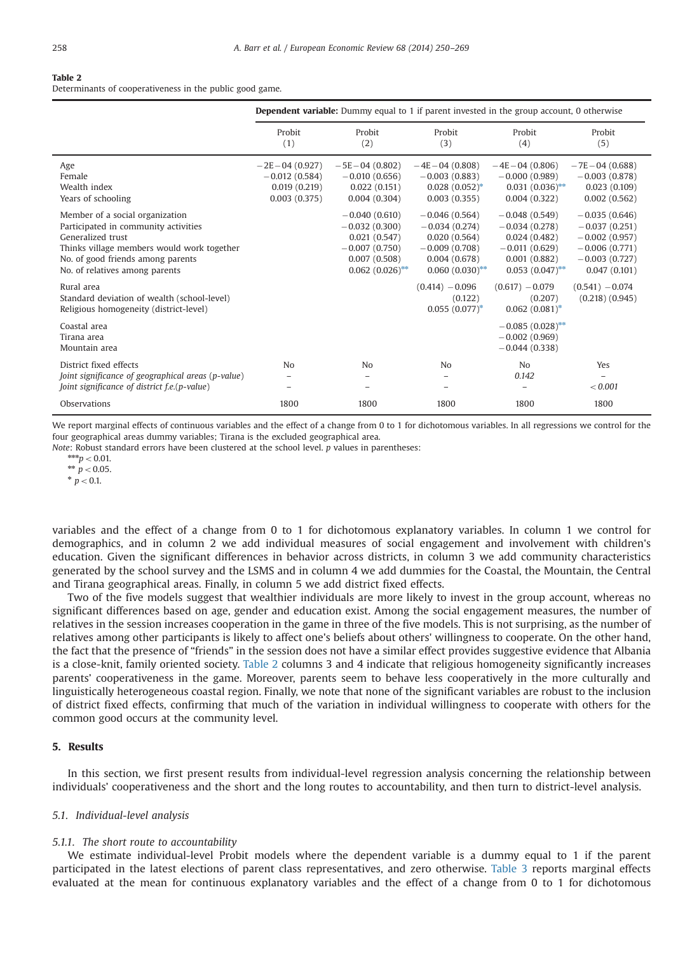<span id="page-8-0"></span>Determinants of cooperativeness in the public good game.

|                                                                                                                                                                                                                   | <b>Dependent variable:</b> Dummy equal to 1 if parent invested in the group account, 0 otherwise |                                                                                                            |                                                                                                            |                                                                                                            |                                                                                                             |
|-------------------------------------------------------------------------------------------------------------------------------------------------------------------------------------------------------------------|--------------------------------------------------------------------------------------------------|------------------------------------------------------------------------------------------------------------|------------------------------------------------------------------------------------------------------------|------------------------------------------------------------------------------------------------------------|-------------------------------------------------------------------------------------------------------------|
|                                                                                                                                                                                                                   | Probit<br>(1)                                                                                    | Probit<br>(2)                                                                                              | Probit<br>(3)                                                                                              | Probit<br>(4)                                                                                              | Probit<br>(5)                                                                                               |
| Age<br>Female<br>Wealth index<br>Years of schooling                                                                                                                                                               | $-2E-04(0.927)$<br>$-0.012(0.584)$<br>0.019(0.219)<br>0.003(0.375)                               | $-5E-04(0.802)$<br>$-0.010(0.656)$<br>0.022(0.151)<br>0.004(0.304)                                         | $-4E-04(0.808)$<br>$-0.003(0.883)$<br>$0.028(0.052)^*$<br>0.003(0.355)                                     | $-4E - 04(0.806)$<br>$-0.000(0.989)$<br>$0.031(0.036)$ **<br>0.004(0.322)                                  | $-7E-04(0.688)$<br>$-0.003(0.878)$<br>0.023(0.109)<br>0.002(0.562)                                          |
| Member of a social organization<br>Participated in community activities<br>Generalized trust<br>Thinks village members would work together<br>No. of good friends among parents<br>No. of relatives among parents |                                                                                                  | $-0.040(0.610)$<br>$-0.032(0.300)$<br>0.021(0.547)<br>$-0.007(0.750)$<br>0.007(0.508)<br>$0.062(0.026)$ ** | $-0.046(0.564)$<br>$-0.034(0.274)$<br>0.020(0.564)<br>$-0.009(0.708)$<br>0.004(0.678)<br>$0.060(0.030)$ ** | $-0.048(0.549)$<br>$-0.034(0.278)$<br>0.024(0.482)<br>$-0.011(0.629)$<br>0.001(0.882)<br>$0.053(0.047)$ ** | $-0.035(0.646)$<br>$-0.037(0.251)$<br>$-0.002(0.957)$<br>$-0.006(0.771)$<br>$-0.003(0.727)$<br>0.047(0.101) |
| Rural area<br>Standard deviation of wealth (school-level)<br>Religious homogeneity (district-level)                                                                                                               |                                                                                                  |                                                                                                            | $(0.414) - 0.096$<br>(0.122)<br>$0.055(0.077)^*$                                                           | $(0.617) - 0.079$<br>(0.207)<br>$0.062(0.081)^*$                                                           | $(0.541) - 0.074$<br>(0.218)(0.945)                                                                         |
| Coastal area<br>Tirana area<br>Mountain area                                                                                                                                                                      |                                                                                                  |                                                                                                            |                                                                                                            | $-0.085(0.028)$ **<br>$-0.002(0.969)$<br>$-0.044(0.338)$                                                   |                                                                                                             |
| District fixed effects<br>Joint significance of geographical areas (p-value)<br>Joint significance of district f.e.(p-value)                                                                                      | No                                                                                               | No                                                                                                         | No                                                                                                         | N <sub>0</sub><br>0.142                                                                                    | Yes<br>< 0.001                                                                                              |
| Observations                                                                                                                                                                                                      | 1800                                                                                             | 1800                                                                                                       | 1800                                                                                                       | 1800                                                                                                       | 1800                                                                                                        |

We report marginal effects of continuous variables and the effect of a change from 0 to 1 for dichotomous variables. In all regressions we control for the four geographical areas dummy variables; Tirana is the excluded geographical area.

Note: Robust standard errors have been clustered at the school level.  $p$  values in parentheses:

\*\*\* $n < 0.01$ 

\*\*  $p'$  < 0.05.

\*  $p < 0.1$ .

variables and the effect of a change from 0 to 1 for dichotomous explanatory variables. In column 1 we control for demographics, and in column 2 we add individual measures of social engagement and involvement with children's education. Given the significant differences in behavior across districts, in column 3 we add community characteristics generated by the school survey and the LSMS and in column 4 we add dummies for the Coastal, the Mountain, the Central and Tirana geographical areas. Finally, in column 5 we add district fixed effects.

Two of the five models suggest that wealthier individuals are more likely to invest in the group account, whereas no significant differences based on age, gender and education exist. Among the social engagement measures, the number of relatives in the session increases cooperation in the game in three of the five models. This is not surprising, as the number of relatives among other participants is likely to affect one's beliefs about others' willingness to cooperate. On the other hand, the fact that the presence of "friends" in the session does not have a similar effect provides suggestive evidence that Albania is a close-knit, family oriented society. Table 2 columns 3 and 4 indicate that religious homogeneity significantly increases parents' cooperativeness in the game. Moreover, parents seem to behave less cooperatively in the more culturally and linguistically heterogeneous coastal region. Finally, we note that none of the significant variables are robust to the inclusion of district fixed effects, confirming that much of the variation in individual willingness to cooperate with others for the common good occurs at the community level.

# 5. Results

In this section, we first present results from individual-level regression analysis concerning the relationship between individuals' cooperativeness and the short and the long routes to accountability, and then turn to district-level analysis.

#### 5.1. Individual-level analysis

# 5.1.1. The short route to accountability

We estimate individual-level Probit models where the dependent variable is a dummy equal to 1 if the parent participated in the latest elections of parent class representatives, and zero otherwise. [Table 3](#page-9-0) reports marginal effects evaluated at the mean for continuous explanatory variables and the effect of a change from 0 to 1 for dichotomous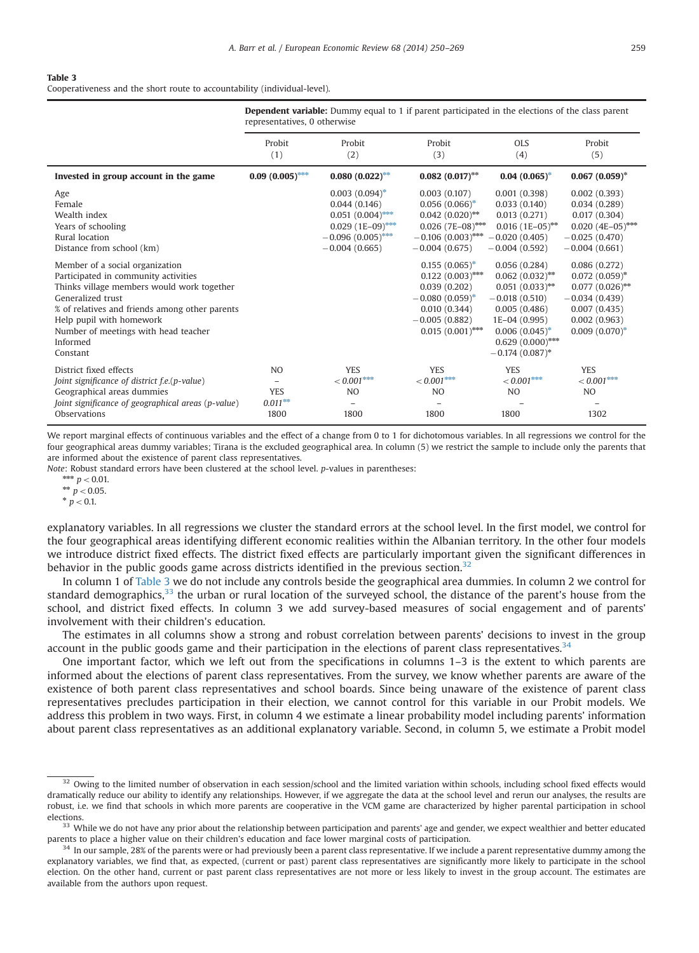<span id="page-9-0"></span>Cooperativeness and the short route to accountability (individual-level).

|                                                                                                                                                                                                                                                                                          | <b>Dependent variable:</b> Dummy equal to 1 if parent participated in the elections of the class parent<br>representatives, 0 otherwise |                                                                                                                        |                                                                                                                                      |                                                                                                                                                                           |                                                                                                                              |
|------------------------------------------------------------------------------------------------------------------------------------------------------------------------------------------------------------------------------------------------------------------------------------------|-----------------------------------------------------------------------------------------------------------------------------------------|------------------------------------------------------------------------------------------------------------------------|--------------------------------------------------------------------------------------------------------------------------------------|---------------------------------------------------------------------------------------------------------------------------------------------------------------------------|------------------------------------------------------------------------------------------------------------------------------|
|                                                                                                                                                                                                                                                                                          | Probit<br>(1)                                                                                                                           | Probit<br>(2)                                                                                                          | Probit<br>(3)                                                                                                                        | <b>OLS</b><br>(4)                                                                                                                                                         | Probit<br>(5)                                                                                                                |
| Invested in group account in the game                                                                                                                                                                                                                                                    | $0.09(0.005)$ ***                                                                                                                       | $0.080(0.022)$ **                                                                                                      | $0.082(0.017)$ **                                                                                                                    | $0.04~(0.065)*$                                                                                                                                                           | $0.067(0.059)^*$                                                                                                             |
| Age<br>Female<br>Wealth index<br>Years of schooling<br>Rural location<br>Distance from school (km)                                                                                                                                                                                       |                                                                                                                                         | $0.003(0.094)$ *<br>0.044(0.146)<br>$0.051(0.004)$ ***<br>$0.029$ (1E-09)***<br>$-0.096(0.005)$ ***<br>$-0.004(0.665)$ | 0.003(0.107)<br>$0.056(0.066)^*$<br>$0.042(0.020)$ **<br>$0.026$ (7E-08)***<br>$-0.106(0.003)$ ***<br>$-0.004(0.675)$                | 0.001(0.398)<br>0.033(0.140)<br>0.013(0.271)<br>$0.016$ (1E-05)**<br>$-0.020(0.405)$<br>$-0.004(0.592)$                                                                   | 0.002(0.393)<br>0.034(0.289)<br>0.017(0.304)<br>$0.020$ (4E-05)***<br>$-0.025(0.470)$<br>$-0.004(0.661)$                     |
| Member of a social organization<br>Participated in community activities<br>Thinks village members would work together<br>Generalized trust<br>% of relatives and friends among other parents<br>Help pupil with homework<br>Number of meetings with head teacher<br>Informed<br>Constant |                                                                                                                                         |                                                                                                                        | $0.155(0.065)^*$<br>$0.122(0.003)$ ***<br>0.039(0.202)<br>$-0.080(0.059)$ *<br>0.010(0.344)<br>$-0.005(0.882)$<br>$0.015(0.001)$ *** | 0.056(0.284)<br>$0.062(0.032)$ **<br>$0.051(0.033)$ **<br>$-0.018(0.510)$<br>0.005(0.486)<br>1E-04 (0.995)<br>$0.006(0.045)^*$<br>$0.629(0.000)$ ***<br>$-0.174(0.087)$ * | 0.086(0.272)<br>$0.072(0.059)$ *<br>$0.077(0.026)$ **<br>$-0.034(0.439)$<br>0.007(0.435)<br>0.002(0.963)<br>$0.009(0.070)$ * |
| District fixed effects<br>Joint significance of district f.e.(p-value)<br>Geographical areas dummies<br>(loint significance of geographical areas (p-value)<br>Observations                                                                                                              | N <sub>O</sub><br><b>YES</b><br>$0.011***$<br>1800                                                                                      | <b>YES</b><br>$< 0.001***$<br>N <sub>O</sub><br>1800                                                                   | <b>YES</b><br>$< 0.001***$<br><sub>NO</sub><br>1800                                                                                  | <b>YES</b><br>$< 0.001***$<br>N <sub>O</sub><br>1800                                                                                                                      | <b>YES</b><br>$< 0.001***$<br>N <sub>O</sub><br>1302                                                                         |

We report marginal effects of continuous variables and the effect of a change from 0 to 1 for dichotomous variables. In all regressions we control for the four geographical areas dummy variables; Tirana is the excluded geographical area. In column (5) we restrict the sample to include only the parents that are informed about the existence of parent class representatives.

Note: Robust standard errors have been clustered at the school level. p-values in parentheses:

\*\*\*  $p < 0.01$ .

\*\*  $p < 0.05$ .

\*  $p < 0.1$ .

explanatory variables. In all regressions we cluster the standard errors at the school level. In the first model, we control for the four geographical areas identifying different economic realities within the Albanian territory. In the other four models we introduce district fixed effects. The district fixed effects are particularly important given the significant differences in behavior in the public goods game across districts identified in the previous section.<sup>32</sup>

In column 1 of Table 3 we do not include any controls beside the geographical area dummies. In column 2 we control for standard demographics, $33$  the urban or rural location of the surveyed school, the distance of the parent's house from the school, and district fixed effects. In column 3 we add survey-based measures of social engagement and of parents' involvement with their children's education.

The estimates in all columns show a strong and robust correlation between parents' decisions to invest in the group account in the public goods game and their participation in the elections of parent class representatives.<sup>34</sup>

One important factor, which we left out from the specifications in columns 1–3 is the extent to which parents are informed about the elections of parent class representatives. From the survey, we know whether parents are aware of the existence of both parent class representatives and school boards. Since being unaware of the existence of parent class representatives precludes participation in their election, we cannot control for this variable in our Probit models. We address this problem in two ways. First, in column 4 we estimate a linear probability model including parents' information about parent class representatives as an additional explanatory variable. Second, in column 5, we estimate a Probit model

<sup>&</sup>lt;sup>32</sup> Owing to the limited number of observation in each session/school and the limited variation within schools, including school fixed effects would dramatically reduce our ability to identify any relationships. However, if we aggregate the data at the school level and rerun our analyses, the results are robust, i.e. we find that schools in which more parents are cooperative in the VCM game are characterized by higher parental participation in school elections.

<sup>&</sup>lt;sup>33</sup> While we do not have any prior about the relationship between participation and parents' age and gender, we expect wealthier and better educated parents to place a higher value on their children's education and face lower marginal costs of participation.

<sup>&</sup>lt;sup>34</sup> In our sample, 28% of the parents were or had previously been a parent class representative. If we include a parent representative dummy among the explanatory variables, we find that, as expected, (current or past) parent class representatives are significantly more likely to participate in the school election. On the other hand, current or past parent class representatives are not more or less likely to invest in the group account. The estimates are available from the authors upon request.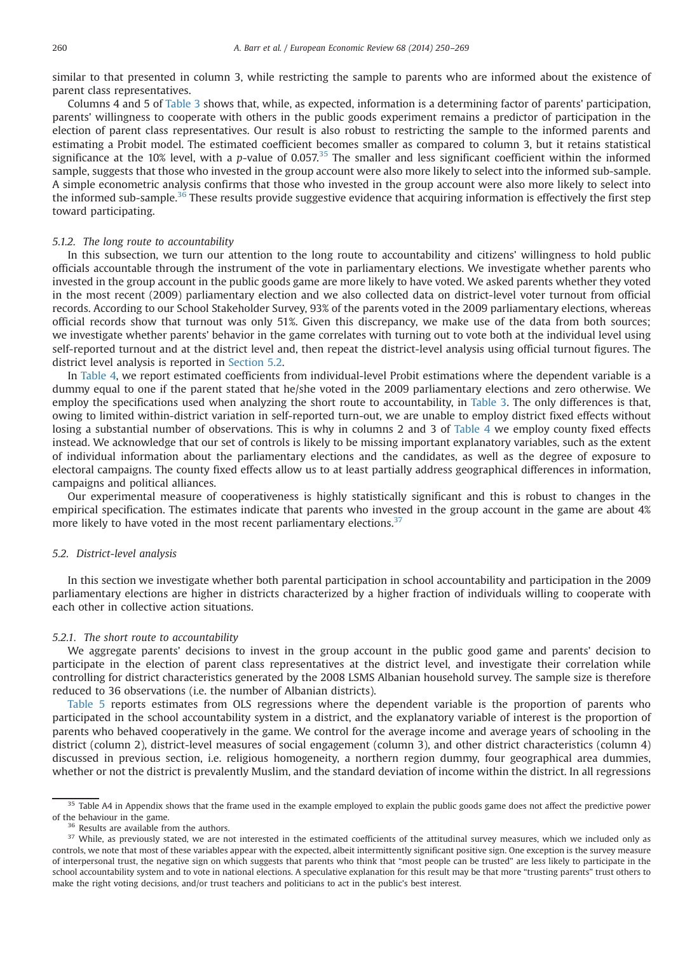similar to that presented in column 3, while restricting the sample to parents who are informed about the existence of parent class representatives.

Columns 4 and 5 of [Table 3](#page-9-0) shows that, while, as expected, information is a determining factor of parents' participation, parents' willingness to cooperate with others in the public goods experiment remains a predictor of participation in the election of parent class representatives. Our result is also robust to restricting the sample to the informed parents and estimating a Probit model. The estimated coefficient becomes smaller as compared to column 3, but it retains statistical significance at the 10% level, with a p-value of 0.057. $35$  The smaller and less significant coefficient within the informed sample, suggests that those who invested in the group account were also more likely to select into the informed sub-sample. A simple econometric analysis confirms that those who invested in the group account were also more likely to select into the informed sub-sample.<sup>36</sup> These results provide suggestive evidence that acquiring information is effectively the first step toward participating.

# 5.1.2. The long route to accountability

In this subsection, we turn our attention to the long route to accountability and citizens' willingness to hold public officials accountable through the instrument of the vote in parliamentary elections. We investigate whether parents who invested in the group account in the public goods game are more likely to have voted. We asked parents whether they voted in the most recent (2009) parliamentary election and we also collected data on district-level voter turnout from official records. According to our School Stakeholder Survey, 93% of the parents voted in the 2009 parliamentary elections, whereas official records show that turnout was only 51%. Given this discrepancy, we make use of the data from both sources; we investigate whether parents' behavior in the game correlates with turning out to vote both at the individual level using self-reported turnout and at the district level and, then repeat the district-level analysis using official turnout figures. The district level analysis is reported in Section 5.2.

In [Table 4](#page-11-0), we report estimated coefficients from individual-level Probit estimations where the dependent variable is a dummy equal to one if the parent stated that he/she voted in the 2009 parliamentary elections and zero otherwise. We employ the specifications used when analyzing the short route to accountability, in [Table 3.](#page-9-0) The only differences is that, owing to limited within-district variation in self-reported turn-out, we are unable to employ district fixed effects without losing a substantial number of observations. This is why in columns 2 and 3 of [Table 4](#page-11-0) we employ county fixed effects instead. We acknowledge that our set of controls is likely to be missing important explanatory variables, such as the extent of individual information about the parliamentary elections and the candidates, as well as the degree of exposure to electoral campaigns. The county fixed effects allow us to at least partially address geographical differences in information, campaigns and political alliances.

Our experimental measure of cooperativeness is highly statistically significant and this is robust to changes in the empirical specification. The estimates indicate that parents who invested in the group account in the game are about 4% more likely to have voted in the most recent parliamentary elections.<sup>37</sup>

# 5.2. District-level analysis

In this section we investigate whether both parental participation in school accountability and participation in the 2009 parliamentary elections are higher in districts characterized by a higher fraction of individuals willing to cooperate with each other in collective action situations.

### 5.2.1. The short route to accountability

We aggregate parents' decisions to invest in the group account in the public good game and parents' decision to participate in the election of parent class representatives at the district level, and investigate their correlation while controlling for district characteristics generated by the 2008 LSMS Albanian household survey. The sample size is therefore reduced to 36 observations (i.e. the number of Albanian districts).

[Table 5](#page-11-0) reports estimates from OLS regressions where the dependent variable is the proportion of parents who participated in the school accountability system in a district, and the explanatory variable of interest is the proportion of parents who behaved cooperatively in the game. We control for the average income and average years of schooling in the district (column 2), district-level measures of social engagement (column 3), and other district characteristics (column 4) discussed in previous section, i.e. religious homogeneity, a northern region dummy, four geographical area dummies, whether or not the district is prevalently Muslim, and the standard deviation of income within the district. In all regressions

<sup>&</sup>lt;sup>35</sup> Table A4 in Appendix shows that the frame used in the example employed to explain the public goods game does not affect the predictive power of the behaviour in the game.

<sup>&</sup>lt;sup>36</sup> Results are available from the authors.

<sup>&</sup>lt;sup>37</sup> While, as previously stated, we are not interested in the estimated coefficients of the attitudinal survey measures, which we included only as controls, we note that most of these variables appear with the expected, albeit intermittently significant positive sign. One exception is the survey measure of interpersonal trust, the negative sign on which suggests that parents who think that "most people can be trusted" are less likely to participate in the school accountability system and to vote in national elections. A speculative explanation for this result may be that more "trusting parents" trust others to make the right voting decisions, and/or trust teachers and politicians to act in the public's best interest.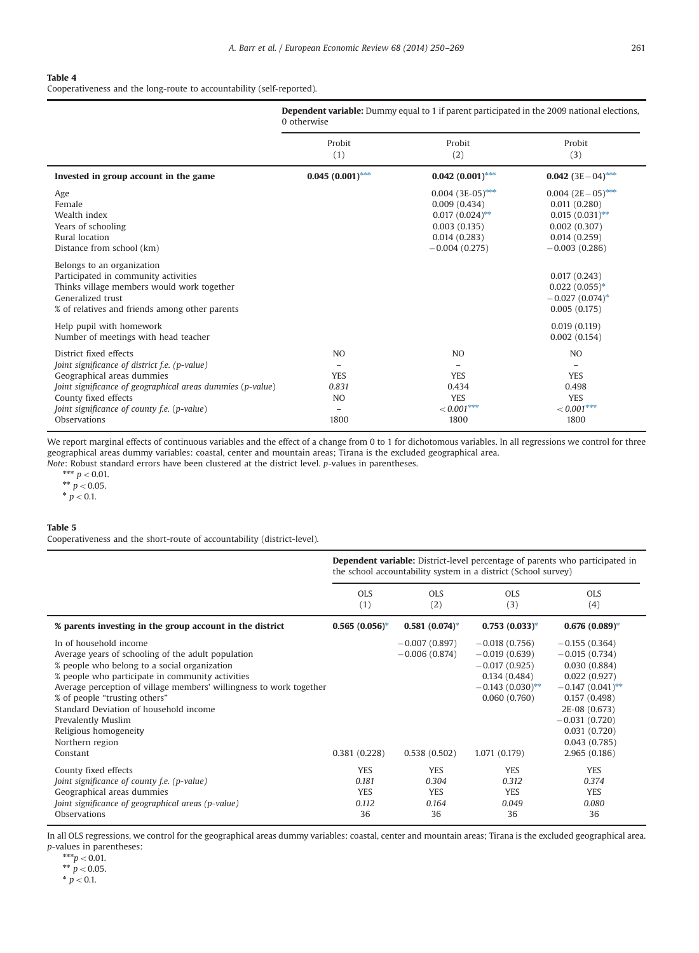<span id="page-11-0"></span>Cooperativeness and the long-route to accountability (self-reported).

|                                                                                                                                                                                                                                                            | <b>Dependent variable:</b> Dummy equal to 1 if parent participated in the 2009 national elections,<br>0 otherwise |                                                                                                            |                                                                                                               |  |  |
|------------------------------------------------------------------------------------------------------------------------------------------------------------------------------------------------------------------------------------------------------------|-------------------------------------------------------------------------------------------------------------------|------------------------------------------------------------------------------------------------------------|---------------------------------------------------------------------------------------------------------------|--|--|
|                                                                                                                                                                                                                                                            | Probit<br>(1)                                                                                                     | Probit<br>(2)                                                                                              | Probit<br>(3)                                                                                                 |  |  |
| Invested in group account in the game                                                                                                                                                                                                                      | $0.045(0.001)$ ***                                                                                                | $0.042(0.001)$ ***                                                                                         | 0.042 $(3E-04)$ ***                                                                                           |  |  |
| Age<br>Female<br>Wealth index<br>Years of schooling<br>Rural location<br>Distance from school (km)                                                                                                                                                         |                                                                                                                   | $0.004$ (3E-05)***<br>0.009(0.434)<br>$0.017(0.024)$ **<br>0.003(0.135)<br>0.014(0.283)<br>$-0.004(0.275)$ | $0.004$ $(2E-05)$ ***<br>0.011(0.280)<br>$0.015(0.031)$ **<br>0.002(0.307)<br>0.014(0.259)<br>$-0.003(0.286)$ |  |  |
| Belongs to an organization<br>Participated in community activities<br>Thinks village members would work together<br>Generalized trust<br>% of relatives and friends among other parents                                                                    |                                                                                                                   |                                                                                                            | 0.017(0.243)<br>$0.022(0.055)^*$<br>$-0.027(0.074)$ *<br>0.005(0.175)                                         |  |  |
| Help pupil with homework<br>Number of meetings with head teacher                                                                                                                                                                                           |                                                                                                                   |                                                                                                            | 0.019(0.119)<br>0.002(0.154)                                                                                  |  |  |
| District fixed effects<br>Joint significance of district f.e. (p-value)<br>Geographical areas dummies<br>Joint significance of geographical areas dummies (p-value)<br>County fixed effects<br>Joint significance of county f.e. (p-value)<br>Observations | N <sub>O</sub><br><b>YES</b><br>0.831<br>N <sub>O</sub><br>1800                                                   | N <sub>O</sub><br><b>YES</b><br>0.434<br><b>YES</b><br>$< 0.001***$<br>1800                                | N <sub>O</sub><br><b>YES</b><br>0.498<br><b>YES</b><br>$< 0.001***$<br>1800                                   |  |  |

We report marginal effects of continuous variables and the effect of a change from 0 to 1 for dichotomous variables. In all regressions we control for three geographical areas dummy variables: coastal, center and mountain areas; Tirana is the excluded geographical area.

Note: Robust standard errors have been clustered at the district level. p-values in parentheses.

\*\*\*  $p < 0.01$ .

\*\*  $p < 0.05$ .

\*  $p$  < 0.1.

#### Table 5

Cooperativeness and the short-route of accountability (district-level).

|                                                                                                                                                                                                                                                                                                                                                                                                                  | <b>Dependent variable:</b> District-level percentage of parents who participated in<br>the school accountability system in a district (School survey) |                                                    |                                                                                                                             |                                                                                                                                                                                              |  |
|------------------------------------------------------------------------------------------------------------------------------------------------------------------------------------------------------------------------------------------------------------------------------------------------------------------------------------------------------------------------------------------------------------------|-------------------------------------------------------------------------------------------------------------------------------------------------------|----------------------------------------------------|-----------------------------------------------------------------------------------------------------------------------------|----------------------------------------------------------------------------------------------------------------------------------------------------------------------------------------------|--|
|                                                                                                                                                                                                                                                                                                                                                                                                                  | <b>OLS</b><br>(1)                                                                                                                                     | <b>OLS</b><br>(2)                                  | <b>OLS</b><br>(3)                                                                                                           | <b>OLS</b><br>(4)                                                                                                                                                                            |  |
| % parents investing in the group account in the district                                                                                                                                                                                                                                                                                                                                                         | $0.565(0.056)^*$                                                                                                                                      | $0.581~(0.074)$ *                                  | $0.753(0.033)^*$                                                                                                            | $0.676(0.089)^*$                                                                                                                                                                             |  |
| In of household income<br>Average years of schooling of the adult population<br>% people who belong to a social organization<br>% people who participate in community activities<br>Average perception of village members' willingness to work together<br>% of people "trusting others"<br>Standard Deviation of household income<br>Prevalently Muslim<br>Religious homogeneity<br>Northern region<br>Constant | 0.381(0.228)                                                                                                                                          | $-0.007(0.897)$<br>$-0.006(0.874)$<br>0.538(0.502) | $-0.018(0.756)$<br>$-0.019(0.639)$<br>$-0.017(0.925)$<br>0.134(0.484)<br>$-0.143(0.030)$ **<br>0.060(0.760)<br>1.071(0.179) | $-0.155(0.364)$<br>$-0.015(0.734)$<br>0.030(0.884)<br>0.022(0.927)<br>$-0.147(0.041)$ **<br>0.157(0.498)<br>2E-08 (0.673)<br>$-0.031(0.720)$<br>0.031(0.720)<br>0.043(0.785)<br>2.965(0.186) |  |
| County fixed effects<br>Joint significance of county f.e. (p-value)<br>Geographical areas dummies<br>(loint significance of geographical areas (p-value)<br>Observations                                                                                                                                                                                                                                         | <b>YES</b><br>0.181<br><b>YES</b><br>0.112<br>36                                                                                                      | <b>YES</b><br>0.304<br><b>YES</b><br>0.164<br>36   | <b>YES</b><br>0.312<br><b>YES</b><br>0.049<br>36                                                                            | <b>YES</b><br>0.374<br><b>YES</b><br>0.080<br>36                                                                                                                                             |  |

In all OLS regressions, we control for the geographical areas dummy variables: coastal, center and mountain areas; Tirana is the excluded geographical area. p-values in parentheses:

\*\*\* $p < 0.01$ .

\*\*  $p < 0.05$ .

\*  $p < 0.1$ .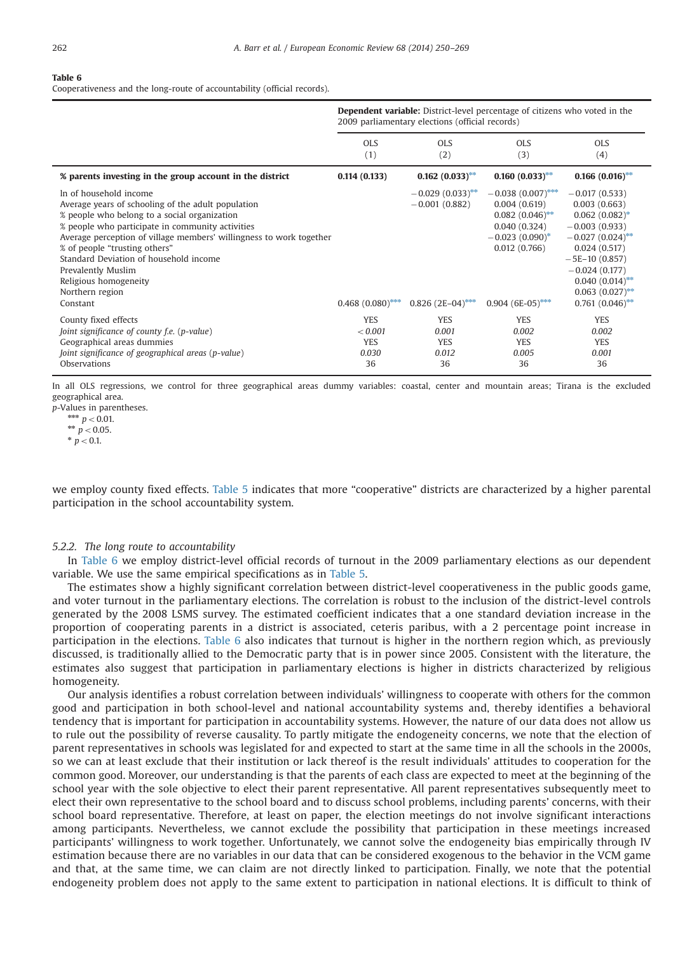Cooperativeness and the long-route of accountability (official records).

|                                                                                                                                                                                                                                                                                                                                                                                                                  | <b>Dependent variable:</b> District-level percentage of citizens who voted in the<br>2009 parliamentary elections (official records) |                                                                         |                                                                                                                                                 |                                                                                                                                                                                                                   |  |
|------------------------------------------------------------------------------------------------------------------------------------------------------------------------------------------------------------------------------------------------------------------------------------------------------------------------------------------------------------------------------------------------------------------|--------------------------------------------------------------------------------------------------------------------------------------|-------------------------------------------------------------------------|-------------------------------------------------------------------------------------------------------------------------------------------------|-------------------------------------------------------------------------------------------------------------------------------------------------------------------------------------------------------------------|--|
|                                                                                                                                                                                                                                                                                                                                                                                                                  | <b>OLS</b><br>(1)                                                                                                                    | <b>OLS</b><br>(2)                                                       | <b>OLS</b><br>(3)                                                                                                                               | <b>OLS</b><br>(4)                                                                                                                                                                                                 |  |
| % parents investing in the group account in the district                                                                                                                                                                                                                                                                                                                                                         | 0.114(0.133)                                                                                                                         | $0.162(0.033)$ **                                                       | $0.160(0.033)$ **                                                                                                                               | $0.166(0.016)$ **                                                                                                                                                                                                 |  |
| In of household income<br>Average years of schooling of the adult population<br>% people who belong to a social organization<br>% people who participate in community activities<br>Average perception of village members' willingness to work together<br>% of people "trusting others"<br>Standard Deviation of household income<br>Prevalently Muslim<br>Religious homogeneity<br>Northern region<br>Constant | $0.468(0.080)$ ***                                                                                                                   | $-0.029(0.033)$ **<br>$-0.001(0.882)$<br>$0.826$ (2E-04) <sup>***</sup> | $-0.038(0.007)$ ***<br>0.004(0.619)<br>$0.082(0.046)$ **<br>0.040(0.324)<br>$-0.023(0.090)^*$<br>0.012(0.766)<br>$0.904$ (6E-05) <sup>***</sup> | $-0.017(0.533)$<br>0.003(0.663)<br>$0.062(0.082)^*$<br>$-0.003(0.933)$<br>$-0.027(0.024)$ **<br>0.024(0.517)<br>$-5E-10(0.857)$<br>$-0.024(0.177)$<br>$0.040(0.014)$ **<br>$0.063(0.027)$ **<br>$0.761(0.046)$ ** |  |
| County fixed effects<br>Joint significance of county f.e. (p-value)<br>Geographical areas dummies<br><i>Joint significance of geographical areas (p-value)</i><br>Observations                                                                                                                                                                                                                                   | <b>YES</b><br>< 0.001<br><b>YES</b><br>0.030<br>36                                                                                   | <b>YES</b><br>0.001<br><b>YES</b><br>0.012<br>36                        | <b>YES</b><br>0.002<br><b>YES</b><br>0.005<br>36                                                                                                | <b>YES</b><br>0.002<br><b>YES</b><br>0.001<br>36                                                                                                                                                                  |  |

In all OLS regressions, we control for three geographical areas dummy variables: coastal, center and mountain areas; Tirana is the excluded geographical area.

p-Values in parentheses.

we employ county fixed effects. [Table 5](#page-11-0) indicates that more "cooperative" districts are characterized by a higher parental participation in the school accountability system.

## 5.2.2. The long route to accountability

In Table 6 we employ district-level official records of turnout in the 2009 parliamentary elections as our dependent variable. We use the same empirical specifications as in [Table 5.](#page-11-0)

The estimates show a highly significant correlation between district-level cooperativeness in the public goods game, and voter turnout in the parliamentary elections. The correlation is robust to the inclusion of the district-level controls generated by the 2008 LSMS survey. The estimated coefficient indicates that a one standard deviation increase in the proportion of cooperating parents in a district is associated, ceteris paribus, with a 2 percentage point increase in participation in the elections. Table 6 also indicates that turnout is higher in the northern region which, as previously discussed, is traditionally allied to the Democratic party that is in power since 2005. Consistent with the literature, the estimates also suggest that participation in parliamentary elections is higher in districts characterized by religious homogeneity.

Our analysis identifies a robust correlation between individuals' willingness to cooperate with others for the common good and participation in both school-level and national accountability systems and, thereby identifies a behavioral tendency that is important for participation in accountability systems. However, the nature of our data does not allow us to rule out the possibility of reverse causality. To partly mitigate the endogeneity concerns, we note that the election of parent representatives in schools was legislated for and expected to start at the same time in all the schools in the 2000s, so we can at least exclude that their institution or lack thereof is the result individuals' attitudes to cooperation for the common good. Moreover, our understanding is that the parents of each class are expected to meet at the beginning of the school year with the sole objective to elect their parent representative. All parent representatives subsequently meet to elect their own representative to the school board and to discuss school problems, including parents' concerns, with their school board representative. Therefore, at least on paper, the election meetings do not involve significant interactions among participants. Nevertheless, we cannot exclude the possibility that participation in these meetings increased participants' willingness to work together. Unfortunately, we cannot solve the endogeneity bias empirically through IV estimation because there are no variables in our data that can be considered exogenous to the behavior in the VCM game and that, at the same time, we can claim are not directly linked to participation. Finally, we note that the potential endogeneity problem does not apply to the same extent to participation in national elections. It is difficult to think of

<sup>\*\*\*</sup>  $p < 0.01$ . \*\*  $p > 0.05$ .  $* p < 0.1.$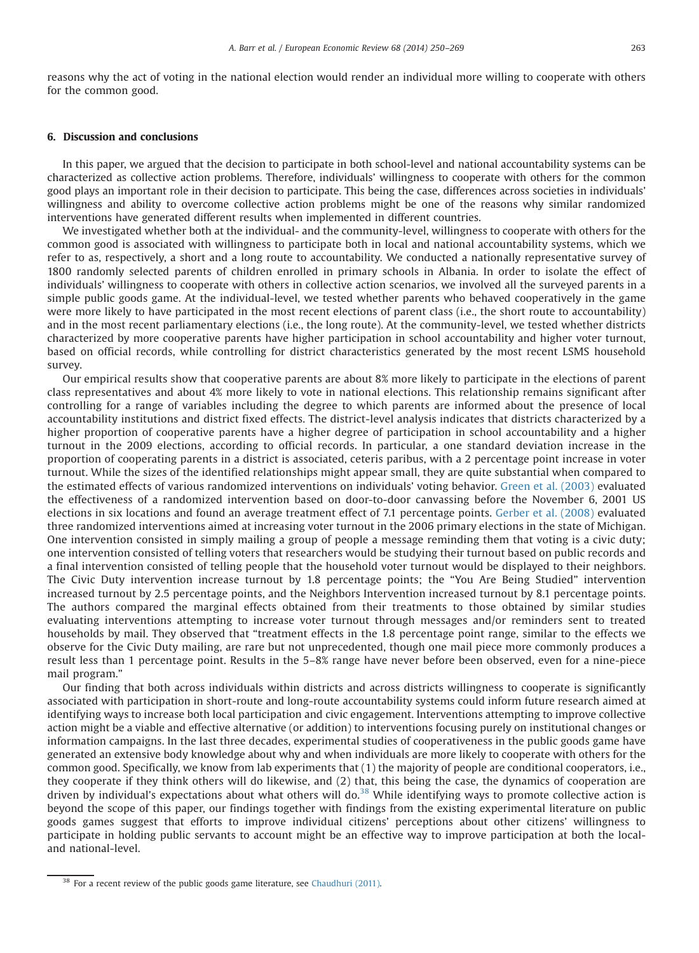<span id="page-13-0"></span>reasons why the act of voting in the national election would render an individual more willing to cooperate with others for the common good.

# 6. Discussion and conclusions

In this paper, we argued that the decision to participate in both school-level and national accountability systems can be characterized as collective action problems. Therefore, individuals' willingness to cooperate with others for the common good plays an important role in their decision to participate. This being the case, differences across societies in individuals' willingness and ability to overcome collective action problems might be one of the reasons why similar randomized interventions have generated different results when implemented in different countries.

We investigated whether both at the individual- and the community-level, willingness to cooperate with others for the common good is associated with willingness to participate both in local and national accountability systems, which we refer to as, respectively, a short and a long route to accountability. We conducted a nationally representative survey of 1800 randomly selected parents of children enrolled in primary schools in Albania. In order to isolate the effect of individuals' willingness to cooperate with others in collective action scenarios, we involved all the surveyed parents in a simple public goods game. At the individual-level, we tested whether parents who behaved cooperatively in the game were more likely to have participated in the most recent elections of parent class (i.e., the short route to accountability) and in the most recent parliamentary elections (i.e., the long route). At the community-level, we tested whether districts characterized by more cooperative parents have higher participation in school accountability and higher voter turnout, based on official records, while controlling for district characteristics generated by the most recent LSMS household survey.

Our empirical results show that cooperative parents are about 8% more likely to participate in the elections of parent class representatives and about 4% more likely to vote in national elections. This relationship remains significant after controlling for a range of variables including the degree to which parents are informed about the presence of local accountability institutions and district fixed effects. The district-level analysis indicates that districts characterized by a higher proportion of cooperative parents have a higher degree of participation in school accountability and a higher turnout in the 2009 elections, according to official records. In particular, a one standard deviation increase in the proportion of cooperating parents in a district is associated, ceteris paribus, with a 2 percentage point increase in voter turnout. While the sizes of the identified relationships might appear small, they are quite substantial when compared to the estimated effects of various randomized interventions on individuals' voting behavior. [Green et al. \(2003\)](#page-18-0) evaluated the effectiveness of a randomized intervention based on door-to-door canvassing before the November 6, 2001 US elections in six locations and found an average treatment effect of 7.1 percentage points. [Gerber et al. \(2008\)](#page-18-0) evaluated three randomized interventions aimed at increasing voter turnout in the 2006 primary elections in the state of Michigan. One intervention consisted in simply mailing a group of people a message reminding them that voting is a civic duty; one intervention consisted of telling voters that researchers would be studying their turnout based on public records and a final intervention consisted of telling people that the household voter turnout would be displayed to their neighbors. The Civic Duty intervention increase turnout by 1.8 percentage points; the "You Are Being Studied" intervention increased turnout by 2.5 percentage points, and the Neighbors Intervention increased turnout by 8.1 percentage points. The authors compared the marginal effects obtained from their treatments to those obtained by similar studies evaluating interventions attempting to increase voter turnout through messages and/or reminders sent to treated households by mail. They observed that "treatment effects in the 1.8 percentage point range, similar to the effects we observe for the Civic Duty mailing, are rare but not unprecedented, though one mail piece more commonly produces a result less than 1 percentage point. Results in the 5–8% range have never before been observed, even for a nine-piece mail program."

Our finding that both across individuals within districts and across districts willingness to cooperate is significantly associated with participation in short-route and long-route accountability systems could inform future research aimed at identifying ways to increase both local participation and civic engagement. Interventions attempting to improve collective action might be a viable and effective alternative (or addition) to interventions focusing purely on institutional changes or information campaigns. In the last three decades, experimental studies of cooperativeness in the public goods game have generated an extensive body knowledge about why and when individuals are more likely to cooperate with others for the common good. Specifically, we know from lab experiments that (1) the majority of people are conditional cooperators, i.e., they cooperate if they think others will do likewise, and (2) that, this being the case, the dynamics of cooperation are driven by individual's expectations about what others will do.<sup>38</sup> While identifying ways to promote collective action is beyond the scope of this paper, our findings together with findings from the existing experimental literature on public goods games suggest that efforts to improve individual citizens' perceptions about other citizens' willingness to participate in holding public servants to account might be an effective way to improve participation at both the localand national-level.

<sup>&</sup>lt;sup>38</sup> For a recent review of the public goods game literature, see [Chaudhuri \(2011\).](#page-18-0)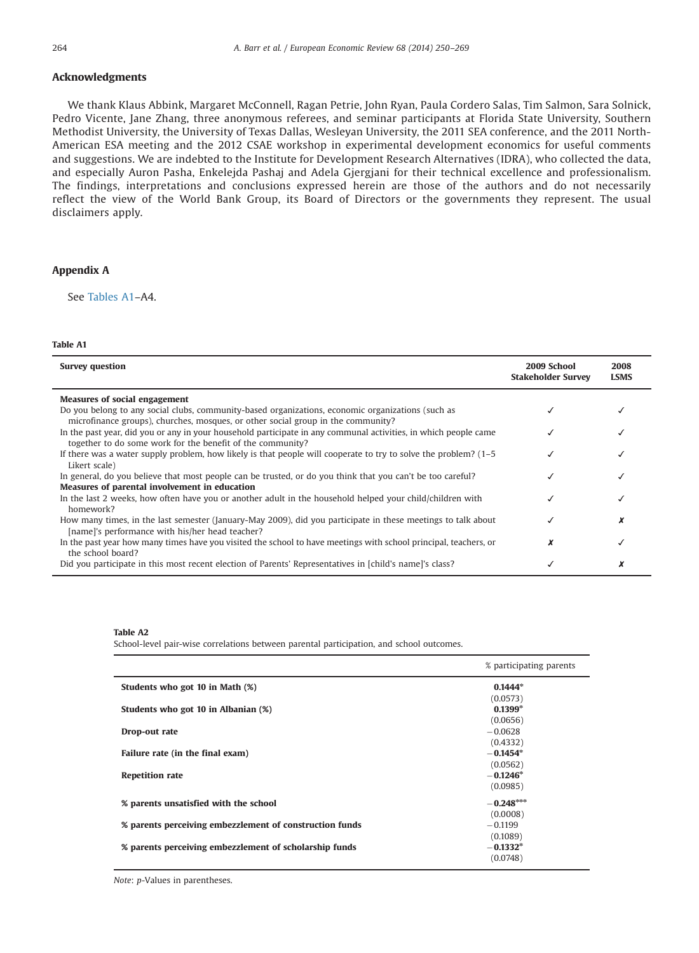## <span id="page-14-0"></span>Acknowledgments

We thank Klaus Abbink, Margaret McConnell, Ragan Petrie, John Ryan, Paula Cordero Salas, Tim Salmon, Sara Solnick, Pedro Vicente, Jane Zhang, three anonymous referees, and seminar participants at Florida State University, Southern Methodist University, the University of Texas Dallas, Wesleyan University, the 2011 SEA conference, and the 2011 North-American ESA meeting and the 2012 CSAE workshop in experimental development economics for useful comments and suggestions. We are indebted to the Institute for Development Research Alternatives (IDRA), who collected the data, and especially Auron Pasha, Enkelejda Pashaj and Adela Gjergjani for their technical excellence and professionalism. The findings, interpretations and conclusions expressed herein are those of the authors and do not necessarily reflect the view of the World Bank Group, its Board of Directors or the governments they represent. The usual disclaimers apply.

# Appendix A

See Tables A1–A4.

### Table A1

| <b>Survey question</b>                                                                                                                                                                | 2009 School<br><b>Stakeholder Survey</b> | 2008<br><b>LSMS</b> |
|---------------------------------------------------------------------------------------------------------------------------------------------------------------------------------------|------------------------------------------|---------------------|
| <b>Measures of social engagement</b>                                                                                                                                                  |                                          |                     |
| Do you belong to any social clubs, community-based organizations, economic organizations (such as<br>microfinance groups), churches, mosques, or other social group in the community? |                                          |                     |
| In the past year, did you or any in your household participate in any communal activities, in which people came<br>together to do some work for the benefit of the community?         |                                          |                     |
| If there was a water supply problem, how likely is that people will cooperate to try to solve the problem? (1–5<br>Likert scale)                                                      |                                          |                     |
| In general, do you believe that most people can be trusted, or do you think that you can't be too careful?                                                                            |                                          |                     |
| Measures of parental involvement in education                                                                                                                                         |                                          |                     |
| In the last 2 weeks, how often have you or another adult in the household helped your child/children with<br>homework?                                                                |                                          |                     |
| How many times, in the last semester (January-May 2009), did you participate in these meetings to talk about<br>[name]'s performance with his/her head teacher?                       |                                          |                     |
| In the past year how many times have you visited the school to have meetings with school principal, teachers, or<br>the school board?                                                 | x                                        |                     |
| Did you participate in this most recent election of Parents' Representatives in [child's name]'s class?                                                                               |                                          |                     |

#### Table A2

School-level pair-wise correlations between parental participation, and school outcomes.

|                                                         | % participating parents            |
|---------------------------------------------------------|------------------------------------|
| Students who got 10 in Math (%)                         | $0.1444*$                          |
| Students who got 10 in Albanian (%)                     | (0.0573)<br>$0.1399*$<br>(0.0656)  |
| Drop-out rate                                           | $-0.0628$                          |
| Failure rate (in the final exam)                        | (0.4332)<br>$-0.1454*$<br>(0.0562) |
| <b>Repetition rate</b>                                  | $-0.1246*$<br>(0.0985)             |
| % parents unsatisfied with the school                   | $-0.248***$<br>(0.0008)            |
| % parents perceiving embezzlement of construction funds | $-0.1199$                          |
| % parents perceiving embezzlement of scholarship funds  | (0.1089)<br>$-0.1332*$<br>(0.0748) |

Note: p-Values in parentheses.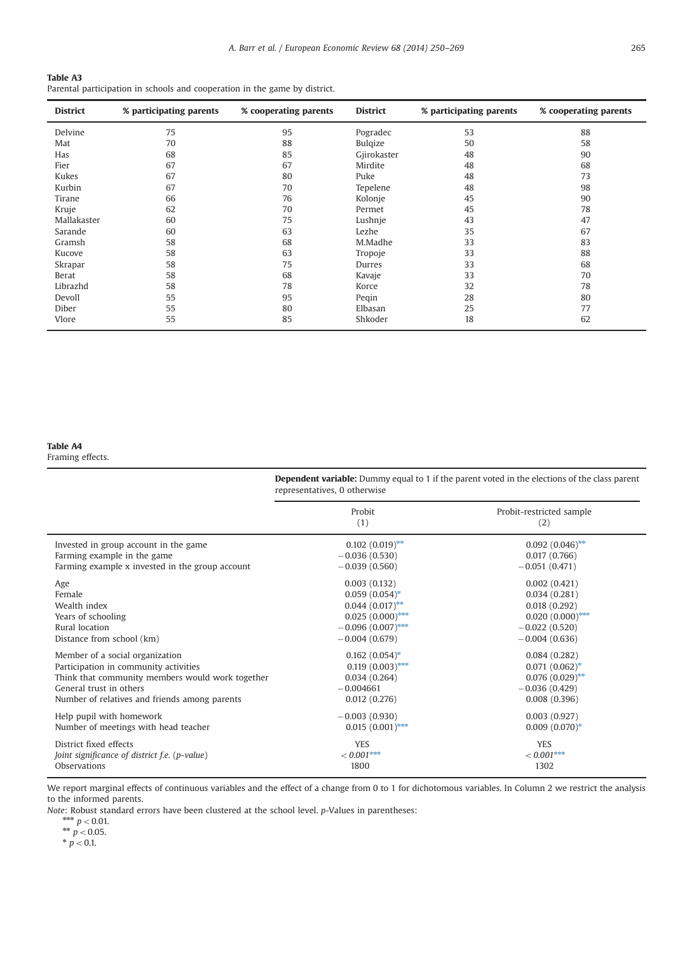<span id="page-15-0"></span>

| <b>Table A3</b>                                                            |  |  |
|----------------------------------------------------------------------------|--|--|
| Parental participation in schools and cooperation in the game by district. |  |  |

| <b>District</b> | % participating parents | % cooperating parents | <b>District</b> | % participating parents | % cooperating parents |
|-----------------|-------------------------|-----------------------|-----------------|-------------------------|-----------------------|
| Delvine         | 75                      | 95                    | Pogradec        | 53                      | 88                    |
| Mat             | 70                      | 88                    | Bulqize         | 50                      | 58                    |
| Has             | 68                      | 85                    | Gjirokaster     | 48                      | 90                    |
| Fier            | 67                      | 67                    | Mirdite         | 48                      | 68                    |
| Kukes           | 67                      | 80                    | Puke            | 48                      | 73                    |
| Kurbin          | 67                      | 70                    | Tepelene        | 48                      | 98                    |
| Tirane          | 66                      | 76                    | Kolonje         | 45                      | 90                    |
| Kruje           | 62                      | 70                    | Permet          | 45                      | 78                    |
| Mallakaster     | 60                      | 75                    | Lushnje         | 43                      | 47                    |
| Sarande         | 60                      | 63                    | Lezhe           | 35                      | 67                    |
| Gramsh          | 58                      | 68                    | M.Madhe         | 33                      | 83                    |
| Kucove          | 58                      | 63                    | Tropoje         | 33                      | 88                    |
| Skrapar         | 58                      | 75                    | Durres          | 33                      | 68                    |
| Berat           | 58                      | 68                    | Kavaje          | 33                      | 70                    |
| Librazhd        | 58                      | 78                    | Korce           | 32                      | 78                    |
| Devoll          | 55                      | 95                    | Peqin           | 28                      | 80                    |
| Diber           | 55                      | 80                    | Elbasan         | 25                      | 77                    |
| Vlore           | 55                      | 85                    | Shkoder         | 18                      | 62                    |

#### Table A4

Framing effects.

Dependent variable: Dummy equal to 1 if the parent voted in the elections of the class parent representatives, 0 otherwise Probit<br>
Probit-restricted sample  $(1)$  (2) Invested in group account in the game  $0.102 (0.019)^{***}$  0.021 (0.019)<sup>not</sup> 0.092 (0.046)<sup>not</sup> Farming example in the game  $-0.036(0.530)$  0.017 (0.766) Farming example x invested in the group account  $-0.039(0.560)$  $-0.051(0.471)$ Age 0.002 (0.421) 0.003 (0.132) 0.003 (0.132) 0.002 (0.421) 0.002 (0.421)  $0.059 (0.054)^*$ Wealth index  $0.018 (0.292)$ <br>
Years of schooling  $0.026 (0.000)^{***}$  0.025 (0.000)<sup>\*\*\*\*</sup> 0.029 (0.000)<sup>\*\*\*\*</sup> Years of schooling Rural location  $-0.096(0.007)$ \*  $-0.022(0.520)$ Distance from school (km)  $-0.004(0.679)$  $-0.004(0.636)$ Member of a social organization  $0.162 (0.054)$ <sup>\*</sup>  $0.084 (0.282)$ Participation in community activities  $0.071$  (0.062)<sup>\*</sup>  $0.071$  (0.062)<sup>\*</sup> 0.071 (0.062)<sup>\*</sup> 0.076 (0.029)<sup>\*\*</sup> Think that community members would work together

| General trust in others                       | $-0.004661$        | $-0.036(0.429)$  |
|-----------------------------------------------|--------------------|------------------|
| Number of relatives and friends among parents | 0.012(0.276)       | 0.008(0.396)     |
| Help pupil with homework                      | $-0.003(0.930)$    | 0.003(0.927)     |
| Number of meetings with head teacher          | $0.015(0.001)$ *** | $0.009(0.070)$ * |
| District fixed effects                        | <b>YES</b>         | <b>YES</b>       |
| Joint significance of district f.e. (p-value) | $< 0.001$ ***      | $< 0.001$ ***    |
| Observations                                  | 1800               | 1302             |

We report marginal effects of continuous variables and the effect of a change from 0 to 1 for dichotomous variables. In Column 2 we restrict the analysis to the informed parents.

Note: Robust standard errors have been clustered at the school level. p-Values in parentheses:

 $p < 0.01$ .

\*\*  $p$  < 0.05.

\*  $p < 0.1$ .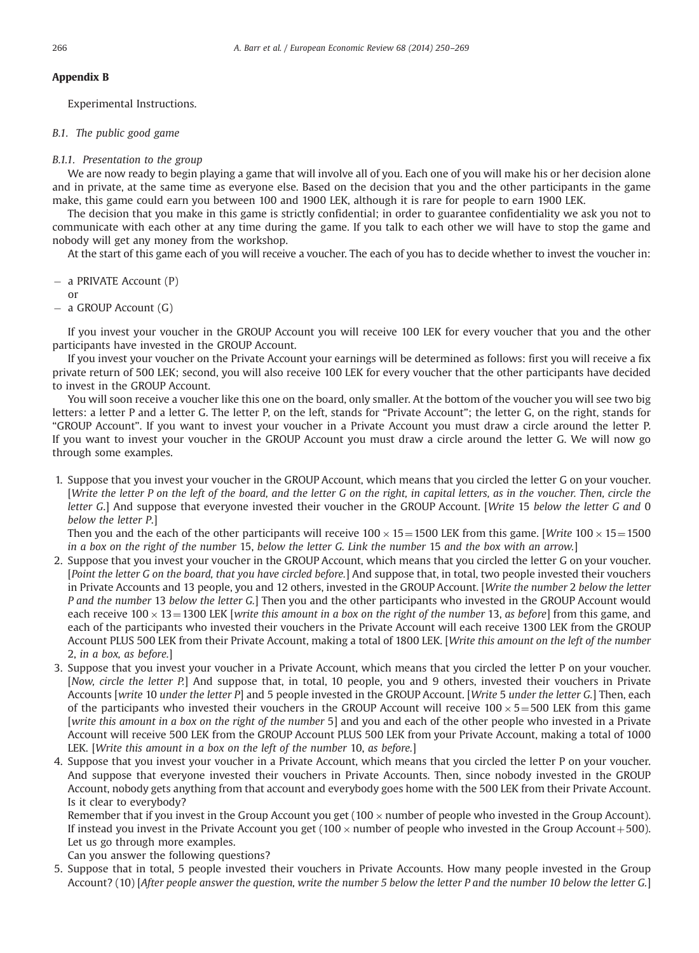# Appendix B

Experimental Instructions.

# B.1. The public good game

# B.1.1. Presentation to the group

We are now ready to begin playing a game that will involve all of you. Each one of you will make his or her decision alone and in private, at the same time as everyone else. Based on the decision that you and the other participants in the game make, this game could earn you between 100 and 1900 LEK, although it is rare for people to earn 1900 LEK.

The decision that you make in this game is strictly confidential; in order to guarantee confidentiality we ask you not to communicate with each other at any time during the game. If you talk to each other we will have to stop the game and nobody will get any money from the workshop.

At the start of this game each of you will receive a voucher. The each of you has to decide whether to invest the voucher in:

- a PRIVATE Account (P)
- or
- a GROUP Account (G)

If you invest your voucher in the GROUP Account you will receive 100 LEK for every voucher that you and the other participants have invested in the GROUP Account.

If you invest your voucher on the Private Account your earnings will be determined as follows: first you will receive a fix private return of 500 LEK; second, you will also receive 100 LEK for every voucher that the other participants have decided to invest in the GROUP Account.

You will soon receive a voucher like this one on the board, only smaller. At the bottom of the voucher you will see two big letters: a letter P and a letter G. The letter P, on the left, stands for "Private Account"; the letter G, on the right, stands for "GROUP Account". If you want to invest your voucher in a Private Account you must draw a circle around the letter P. If you want to invest your voucher in the GROUP Account you must draw a circle around the letter G. We will now go through some examples.

1. Suppose that you invest your voucher in the GROUP Account, which means that you circled the letter G on your voucher. [Write the letter P on the left of the board, and the letter G on the right, in capital letters, as in the voucher. Then, circle the letter G.] And suppose that everyone invested their voucher in the GROUP Account. [Write 15 below the letter G and 0 below the letter P.]

Then you and the each of the other participants will receive  $100 \times 15 = 1500$  LEK from this game. [Write  $100 \times 15 = 1500$ in a box on the right of the number 15, below the letter G. Link the number 15 and the box with an arrow.]

- 2. Suppose that you invest your voucher in the GROUP Account, which means that you circled the letter G on your voucher. [Point the letter G on the board, that you have circled before.] And suppose that, in total, two people invested their vouchers in Private Accounts and 13 people, you and 12 others, invested in the GROUP Account. [Write the number 2 below the letter P and the number 13 below the letter G.] Then you and the other participants who invested in the GROUP Account would each receive 100  $\times$  13 = 1300 LEK [write this amount in a box on the right of the number 13, as before] from this game, and each of the participants who invested their vouchers in the Private Account will each receive 1300 LEK from the GROUP Account PLUS 500 LEK from their Private Account, making a total of 1800 LEK. [Write this amount on the left of the number 2, in a box, as before.]
- 3. Suppose that you invest your voucher in a Private Account, which means that you circled the letter P on your voucher. [Now, circle the letter P.] And suppose that, in total, 10 people, you and 9 others, invested their vouchers in Private Accounts [write 10 under the letter P] and 5 people invested in the GROUP Account. [Write 5 under the letter G.] Then, each of the participants who invested their vouchers in the GROUP Account will receive  $100 \times 5=500$  LEK from this game [write this amount in a box on the right of the number 5] and you and each of the other people who invested in a Private Account will receive 500 LEK from the GROUP Account PLUS 500 LEK from your Private Account, making a total of 1000 LEK. [Write this amount in a box on the left of the number 10, as before.]
- 4. Suppose that you invest your voucher in a Private Account, which means that you circled the letter P on your voucher. And suppose that everyone invested their vouchers in Private Accounts. Then, since nobody invested in the GROUP Account, nobody gets anything from that account and everybody goes home with the 500 LEK from their Private Account. Is it clear to everybody?

Remember that if you invest in the Group Account you get (100  $\times$  number of people who invested in the Group Account). If instead you invest in the Private Account you get (100  $\times$  number of people who invested in the Group Account +500). Let us go through more examples.

Can you answer the following questions?

5. Suppose that in total, 5 people invested their vouchers in Private Accounts. How many people invested in the Group Account? (10) [After people answer the question, write the number 5 below the letter P and the number 10 below the letter G.]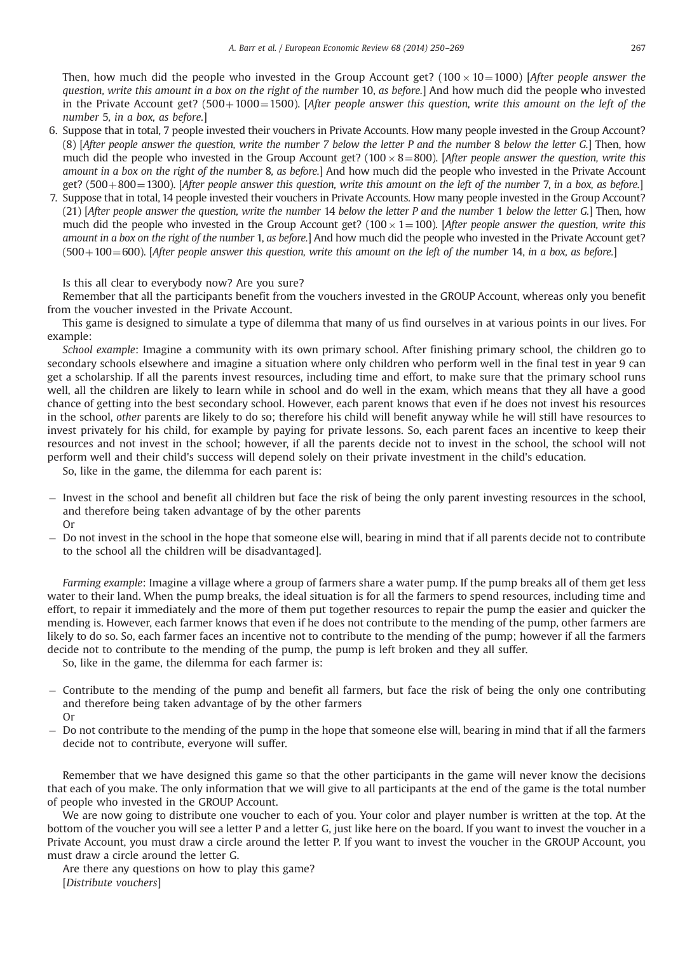Then, how much did the people who invested in the Group Account get? (100  $\times$  10=1000) [After people answer the question, write this amount in a box on the right of the number 10, as before.] And how much did the people who invested in the Private Account get? (500+1000=1500). [After people answer this question, write this amount on the left of the number 5, in a box, as before.]

- 6. Suppose that in total, 7 people invested their vouchers in Private Accounts. How many people invested in the Group Account? (8) [After people answer the question, write the number 7 below the letter P and the number 8 below the letter G.] Then, how much did the people who invested in the Group Account get? ( $100 \times 8 = 800$ ). [After people answer the question, write this amount in a box on the right of the number 8, as before.] And how much did the people who invested in the Private Account get? (500+800=1300). [After people answer this question, write this amount on the left of the number 7, in a box, as before.]
- 7. Suppose that in total, 14 people invested their vouchers in Private Accounts. How many people invested in the Group Account? (21) [After people answer the question, write the number 14 below the letter P and the number 1 below the letter G.] Then, how much did the people who invested in the Group Account get? (100  $\times$  1 = 100). [After people answer the question, write this amount in a box on the right of the number 1, as before.] And how much did the people who invested in the Private Account get?  $(500+100=600)$ . [After people answer this question, write this amount on the left of the number 14, in a box, as before.]

Is this all clear to everybody now? Are you sure?

Remember that all the participants benefit from the vouchers invested in the GROUP Account, whereas only you benefit from the voucher invested in the Private Account.

This game is designed to simulate a type of dilemma that many of us find ourselves in at various points in our lives. For example:

School example: Imagine a community with its own primary school. After finishing primary school, the children go to secondary schools elsewhere and imagine a situation where only children who perform well in the final test in year 9 can get a scholarship. If all the parents invest resources, including time and effort, to make sure that the primary school runs well, all the children are likely to learn while in school and do well in the exam, which means that they all have a good chance of getting into the best secondary school. However, each parent knows that even if he does not invest his resources in the school, other parents are likely to do so; therefore his child will benefit anyway while he will still have resources to invest privately for his child, for example by paying for private lessons. So, each parent faces an incentive to keep their resources and not invest in the school; however, if all the parents decide not to invest in the school, the school will not perform well and their child's success will depend solely on their private investment in the child's education.

So, like in the game, the dilemma for each parent is:

- Invest in the school and benefit all children but face the risk of being the only parent investing resources in the school, and therefore being taken advantage of by the other parents Or
- Do not invest in the school in the hope that someone else will, bearing in mind that if all parents decide not to contribute to the school all the children will be disadvantaged].

Farming example: Imagine a village where a group of farmers share a water pump. If the pump breaks all of them get less water to their land. When the pump breaks, the ideal situation is for all the farmers to spend resources, including time and effort, to repair it immediately and the more of them put together resources to repair the pump the easier and quicker the mending is. However, each farmer knows that even if he does not contribute to the mending of the pump, other farmers are likely to do so. So, each farmer faces an incentive not to contribute to the mending of the pump; however if all the farmers decide not to contribute to the mending of the pump, the pump is left broken and they all suffer.

So, like in the game, the dilemma for each farmer is:

- Contribute to the mending of the pump and benefit all farmers, but face the risk of being the only one contributing and therefore being taken advantage of by the other farmers Or
- Do not contribute to the mending of the pump in the hope that someone else will, bearing in mind that if all the farmers decide not to contribute, everyone will suffer.

Remember that we have designed this game so that the other participants in the game will never know the decisions that each of you make. The only information that we will give to all participants at the end of the game is the total number of people who invested in the GROUP Account.

We are now going to distribute one voucher to each of you. Your color and player number is written at the top. At the bottom of the voucher you will see a letter P and a letter G, just like here on the board. If you want to invest the voucher in a Private Account, you must draw a circle around the letter P. If you want to invest the voucher in the GROUP Account, you must draw a circle around the letter G.

Are there any questions on how to play this game? [Distribute vouchers]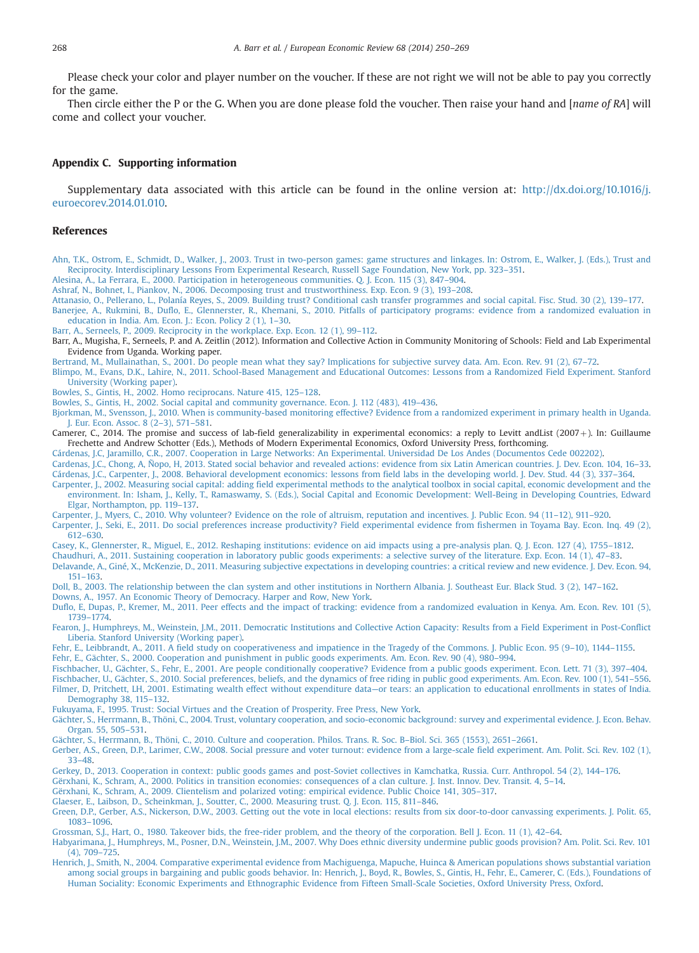<span id="page-18-0"></span>Please check your color and player number on the voucher. If these are not right we will not be able to pay you correctly for the game.

Then circle either the P or the G. When you are done please fold the voucher. Then raise your hand and [name of RA] will come and collect your voucher.

# Appendix C. Supporting information

Supplementary data associated with this article can be found in the online version at: [http://dx.doi.org/10.1016/j.](http://dx.doi.org/10.1016/j.euroecorev.2014.01.010) [euroecorev.2014.01.010](http://dx.doi.org/10.1016/j.euroecorev.2014.01.010).

#### **References**

[Ahn, T.K., Ostrom, E., Schmidt, D., Walker, J., 2003. Trust in two-person games: game structures and linkages. In: Ostrom, E., Walker, J. \(Eds.\), Trust and](http://refhub.elsevier.com/S0014-2921(14)00012-9/sbref1) [Reciprocity. Interdisciplinary Lessons From Experimental Research, Russell Sage Foundation, New York, pp. 323](http://refhub.elsevier.com/S0014-2921(14)00012-9/sbref1)–351.

[Alesina, A., La Ferrara, E., 2000. Participation in heterogeneous communities. Q. J. Econ. 115 \(3\), 847](http://refhub.elsevier.com/S0014-2921(14)00012-9/sbref2)–904.

[Ashraf, N., Bohnet, I., Piankov, N., 2006. Decomposing trust and trustworthiness. Exp. Econ. 9 \(3\), 193](http://refhub.elsevier.com/S0014-2921(14)00012-9/sbref4)–208.

[Attanasio, O., Pellerano, L., Polanía Reyes, S., 2009. Building trust? Conditional cash transfer programmes and social capital. Fisc. Stud. 30 \(2\),](http://refhub.elsevier.com/S0014-2921(14)00012-9/sbref5) 139–177. [Banerjee, A., Rukmini, B., Duflo, E., Glennerster, R., Khemani, S., 2010. Pitfalls of participatory programs: evidence from a randomized evaluation in](http://refhub.elsevier.com/S0014-2921(14)00012-9/sbref6)

[education in India. Am. Econ. J.: Econ. Policy 2 \(1\), 1](http://refhub.elsevier.com/S0014-2921(14)00012-9/sbref6)–30.

[Barr, A., Serneels, P., 2009. Reciprocity in the workplace. Exp. Econ. 12 \(1\), 99](http://refhub.elsevier.com/S0014-2921(14)00012-9/sbref7)-112.

Barr, A., Mugisha, F., Serneels, P. and A. Zeitlin (2012). Information and Collective Action in Community Monitoring of Schools: Field and Lab Experimental Evidence from Uganda. Working paper.

[Bertrand, M., Mullainathan, S., 2001. Do people mean what they say? Implications for subjective survey data. Am. Econ. Rev. 91 \(2\), 67](http://refhub.elsevier.com/S0014-2921(14)00012-9/sbref8)–72.

[Blimpo, M., Evans, D.K., Lahire, N., 2011. School-Based Management and Educational Outcomes: Lessons from a Randomized Field Experiment. Stanford](http://refhub.elsevier.com/S0014-2921(14)00012-9/sbref9) [University \(Working paper\).](http://refhub.elsevier.com/S0014-2921(14)00012-9/sbref9)

[Bowles, S., Gintis, H., 2002. Homo reciprocans. Nature 415, 125](http://refhub.elsevier.com/S0014-2921(14)00012-9/sbref10)–128.

[Bowles, S., Gintis, H., 2002. Social capital and community governance. Econ. J. 112 \(483\), 419](http://refhub.elsevier.com/S0014-2921(14)00012-9/sbref11)–436.

[Bjorkman, M., Svensson, J., 2010. When is community-based monitoring effective? Evidence from a randomized experiment in primary health in Uganda.](http://refhub.elsevier.com/S0014-2921(14)00012-9/sbref12) [J. Eur. Econ. Assoc. 8 \(2](http://refhub.elsevier.com/S0014-2921(14)00012-9/sbref12)–3), 571–581.

Camerer, C., 2014. The promise and success of lab-field generalizability in experimental economics: a reply to Levitt andList  $(2007+)$ . In: Guillaume Frechette and Andrew Schotter (Eds.), Methods of Modern Experimental Economics, Oxford University Press, forthcoming.

[Cárdenas, J.C, Jaramillo, C.R., 2007. Cooperation in Large Networks: An Experimental. Universidad De Los Andes \(Documentos Cede 002202\).](http://refhub.elsevier.com/S0014-2921(14)00012-9/sbref13)

Cardenas, J.C., Chong, A, Nopo, H, 2013. Stated social behavior and revealed actions: evidence from six Latin American countries. J. Dev. Econ. 104, 16–33.<br>Cárdenas, J.C., Carpenter, J., 2008. Behavioral development econom

[Carpenter, J., 2002. Measuring social capital: adding field experimental methods to the analytical toolbox in social capital, economic development and the](http://refhub.elsevier.com/S0014-2921(14)00012-9/sbref16) [environment. In: Isham, J., Kelly, T., Ramaswamy, S. \(Eds.\), Social Capital and Economic Development: Well-Being in Developing Countries, Edward](http://refhub.elsevier.com/S0014-2921(14)00012-9/sbref16) [Elgar, Northampton, pp. 119](http://refhub.elsevier.com/S0014-2921(14)00012-9/sbref16)–137.

[Carpenter, J., Myers, C., 2010. Why volunteer? Evidence on the role of altruism, reputation and incentives. J. Public Econ. 94 \(11](http://refhub.elsevier.com/S0014-2921(14)00012-9/sbref17)–12), 911–920.

[Carpenter, J., Seki, E., 2011. Do social preferences increase productivity? Field experimental evidence from fishermen in Toyama Bay. Econ. Inq. 49](http://refhub.elsevier.com/S0014-2921(14)00012-9/sbref18) (2), 612–[630.](http://refhub.elsevier.com/S0014-2921(14)00012-9/sbref18)

[Casey, K., Glennerster, R., Miguel, E., 2012. Reshaping institutions: evidence on aid impacts using a pre-analysis plan. Q. J. Econ. 127 \(4\), 1755](http://refhub.elsevier.com/S0014-2921(14)00012-9/sbref19)–1812.

[Chaudhuri, A., 2011. Sustaining cooperation in laboratory public goods experiments: a selective survey of the literature. Exp. Econ. 14 \(1\), 47](http://refhub.elsevier.com/S0014-2921(14)00012-9/sbref20)–83.

[Delavande, A., Giné, X., McKenzie, D., 2011. Measuring subjective expectations in developing countries: a critical review and new evidence. J. Dev.](http://refhub.elsevier.com/S0014-2921(14)00012-9/sbref21) Econ. 94, 151–[163.](http://refhub.elsevier.com/S0014-2921(14)00012-9/sbref21)

[Doll, B., 2003. The relationship between the clan system and other institutions in Northern Albania. J. Southeast Eur. Black Stud. 3 \(2\), 147](http://refhub.elsevier.com/S0014-2921(14)00012-9/sbref22)–162.

[Downs, A., 1957. An Economic Theory of Democracy. Harper and Row, New York.](http://refhub.elsevier.com/S0014-2921(14)00012-9/sbref23)

[Duflo, E, Dupas, P., Kremer, M., 2011. Peer effects and the impact of tracking: evidence from a randomized evaluation in Kenya. Am. Econ. Rev. 101 \(5\),](http://refhub.elsevier.com/S0014-2921(14)00012-9/sbref24) 1739–[1774.](http://refhub.elsevier.com/S0014-2921(14)00012-9/sbref24)

[Fearon, J., Humphreys, M., Weinstein, J.M., 2011. Democratic Institutions and Collective Action Capacity: Results from a Field Experiment in Post-Conflict](http://refhub.elsevier.com/S0014-2921(14)00012-9/sbref25) [Liberia. Stanford University \(Working paper\).](http://refhub.elsevier.com/S0014-2921(14)00012-9/sbref25)

[Fehr, E., Leibbrandt, A., 2011. A field study on cooperativeness and impatience in the Tragedy of the Commons. J. Public Econ. 95 \(9](http://refhub.elsevier.com/S0014-2921(14)00012-9/sbref26)–10), 1144–1155. [Fehr, E., Gächter, S., 2000. Cooperation and punishment in public goods experiments. Am. Econ. Rev. 90 \(4\), 980](http://refhub.elsevier.com/S0014-2921(14)00012-9/sbref27)–994.

[Fischbacher, U., Gächter, S., Fehr, E., 2001. Are people conditionally cooperative? Evidence from a public goods experiment. Econ. Lett. 71 \(3\), 397](http://refhub.elsevier.com/S0014-2921(14)00012-9/sbref28)–404.

[Fischbacher, U., Gächter, S., 2010. Social preferences, beliefs, and the dynamics of free riding in public good experiments. Am. Econ. Rev. 100 \(1\), 541](http://refhub.elsevier.com/S0014-2921(14)00012-9/sbref29)–556. [Filmer, D, Pritchett, LH, 2001. Estimating wealth effect without expenditure data](http://refhub.elsevier.com/S0014-2921(14)00012-9/sbref30)—or tears: an application to educational enrollments in states of India. [Demography 38, 115](http://refhub.elsevier.com/S0014-2921(14)00012-9/sbref30)–132.

[Fukuyama, F., 1995. Trust: Social Virtues and the Creation of Prosperity. Free Press, New York.](http://refhub.elsevier.com/S0014-2921(14)00012-9/sbref31)

[Gächter, S., Herrmann, B., Thöni, C., 2004. Trust, voluntary cooperation, and socio-economic background: survey and experimental evidence. J. Econ. Behav.](http://refhub.elsevier.com/S0014-2921(14)00012-9/sbref32) [Organ. 55, 505](http://refhub.elsevier.com/S0014-2921(14)00012-9/sbref32)–531.

[Gächter, S., Herrmann, B., Thöni, C., 2010. Culture and cooperation. Philos. Trans. R. Soc. B](http://refhub.elsevier.com/S0014-2921(14)00012-9/sbref33)–Biol. Sci. 365 (1553), 2651–2661.

[Gerber, A.S., Green, D.P., Larimer, C.W., 2008. Social pressure and voter turnout: evidence from a large-scale field experiment. Am. Polit. Sci. Rev. 102 \(1\),](http://refhub.elsevier.com/S0014-2921(14)00012-9/sbref34) 33–[48.](http://refhub.elsevier.com/S0014-2921(14)00012-9/sbref34)

[Gerkey, D., 2013. Cooperation in context: public goods games and post-Soviet collectives in Kamchatka, Russia. Curr. Anthropol. 54 \(2\), 144](http://refhub.elsevier.com/S0014-2921(14)00012-9/sbref35)–176.

[Gërxhani, K., Schram, A., 2000. Politics in transition economies: consequences of a clan culture. J. Inst. Innov. Dev. Transit. 4, 5](http://refhub.elsevier.com/S0014-2921(14)00012-9/sbref36)–14.

[Gërxhani, K., Schram, A., 2009. Clientelism and polarized voting: empirical evidence. Public Choice 141, 305](http://refhub.elsevier.com/S0014-2921(14)00012-9/sbref37)–317.

[Glaeser, E., Laibson, D., Scheinkman, J., Soutter, C., 2000. Measuring trust. Q. J. Econ. 115, 811](http://refhub.elsevier.com/S0014-2921(14)00012-9/sbref38)–846.<br>Green, D.P., Gerber, A.S., Nickerson, D.W., 2003. Getting out the vote in local elections: results from six door-to-do 1083–[1096.](http://refhub.elsevier.com/S0014-2921(14)00012-9/sbref39)

[Grossman, S.J., Hart, O., 1980. Takeover bids, the free-rider problem, and the theory of the corporation. Bell J. Econ. 11 \(1\), 42](http://refhub.elsevier.com/S0014-2921(14)00012-9/sbref40)–64.

[Habyarimana, J., Humphreys, M., Posner, D.N., Weinstein, J.M., 2007. Why Does ethnic diversity undermine public goods provision? Am. Polit. Sci. Rev. 101](http://refhub.elsevier.com/S0014-2921(14)00012-9/sbref41) [\(4\), 709](http://refhub.elsevier.com/S0014-2921(14)00012-9/sbref41)–725.

[Henrich, J., Smith, N., 2004. Comparative experimental evidence from Machiguenga, Mapuche, Huinca](http://refhub.elsevier.com/S0014-2921(14)00012-9/sbref42) & [American populations shows substantial variation](http://refhub.elsevier.com/S0014-2921(14)00012-9/sbref42) [among social groups in bargaining and public goods behavior. In: Henrich, J., Boyd, R., Bowles, S., Gintis, H., Fehr, E., Camerer, C. \(Eds.\), Foundations of](http://refhub.elsevier.com/S0014-2921(14)00012-9/sbref42) [Human Sociality: Economic Experiments and Ethnographic Evidence from Fifteen Small-Scale Societies, Oxford University Press, Oxford.](http://refhub.elsevier.com/S0014-2921(14)00012-9/sbref42)